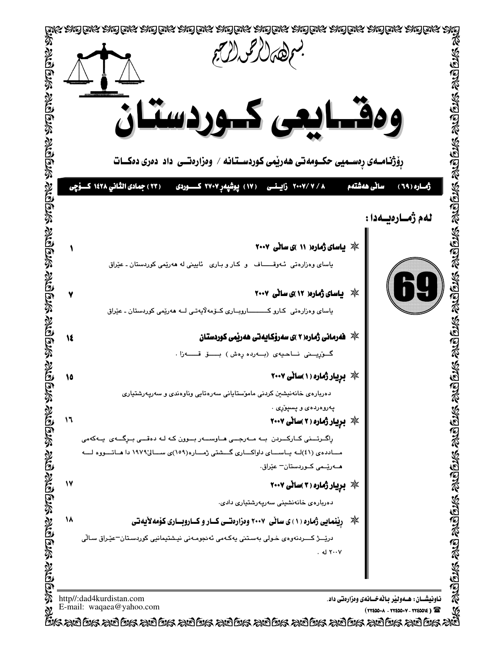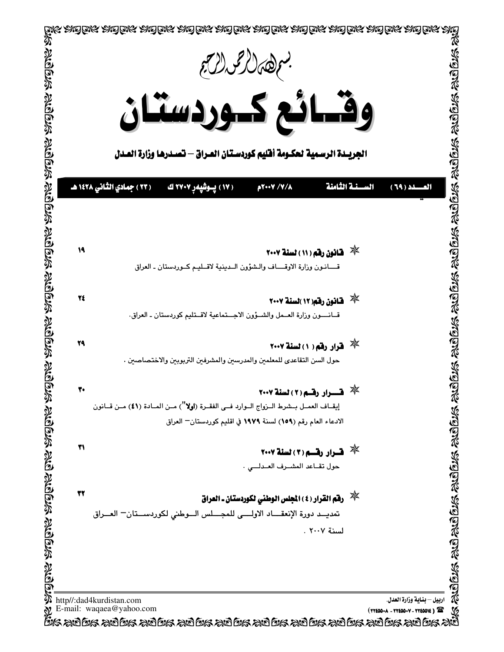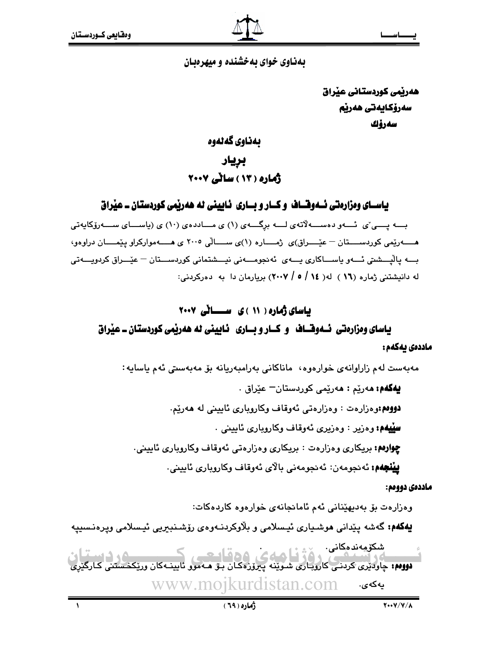### بهناوی خوای بهخشنده و میهرهبان

هەربمى كوردستانى عيراق سەرۆكايەتى ھەرپم سەرۆك

# ىمناوى گەنەوە بريار

# ڈمارہ ( ۱۳ ) سائے ۲۰۰۷

یاسـای وهزارهتی ئــهوهـّـاف و کــار و بــاری ئـابینی له ههریّمی کوردستان ــ عیّراق

بـــه پــــی ٌی نُـــهو دهســـهلاّتهی لـــه برِگـــهی (۱) ی مـــاددهی (۱۰) ی (یاســـای ســـهروّکایهتی هــــــهريْمي كوردســــتان – عيْــــراق)ى ژمــــاره (١)ى ســــالى ٢٠٠٥ ى هــــه مواركراو ييْمــــان دراوهو، بـــه پاٽيـــشتي ئـــهو پاســـاکاري پـــهي ئهنجومـــهني نيـــشتماني کورڊســـتان – عيّـــراق کردويـــهتي له دانیشتنی ژماره (۱۲ ) له( ۱۶ / ۰۵ / ۲۰۰۷) بریارمان دا به دهرکردنی:

# یاسای ژماره ( ۱۱ )ی ســانی ۲۰۰۷

# یاسای ومزارهتی نسموقساف و کسار و بساری فایینی له ههریمی کوردستان۔ عیراق ماددەى بەكەم :

مەبەست لەم زاراوانەي خوارەوە، ماناكانى بەرامبەريانە بۆ مەبەستى ئەم ياسايە:

**پهگهم: م**ەرێم : ھەرێمى كوردستان<sup>ــ</sup> عێراق . دووهم:وهزارهت : وهزارهتي ئەوقاف وكاروپارى ئابيني له هەرێم.

**سِيْيهُمْ:** وەزير : وەزيرى ئەوقاف وكاروپارى ئايينى .

**چوارهم:** بریکاری وهزارهت : بریکاری وهزارهتی ئهوقاف وکاروباری ئایینی.

**ييْنْچَهُمْ؛** ئەنجومەن: ئەنجومەنى بالآي ئەوقاف وكاروپارى ئايينى.

### ماددهۍ دووهم:

وەزارەت بۆ بەدىھێنانى ئەم ئامانجانەي خوارەوە كاردەكات:

**يەكەم:** گەشە يېدانى موشىيارى ئېسلامى و بلاوكردنـەوەي رۆشىنبىرىي ئېسلامى ويرەنسىييە

شكۆمەندەكانى. سندومه بدهخامی٠<br>- است است است که برای از این که برای در قالت می کنید که در این این این که در این این که در این<br>**دووم،** چاودیری کردنی کاروباری شوینه پیروزهکان بو مـهموو ئایینـهکان وریکخستنی www.moikurdistan.com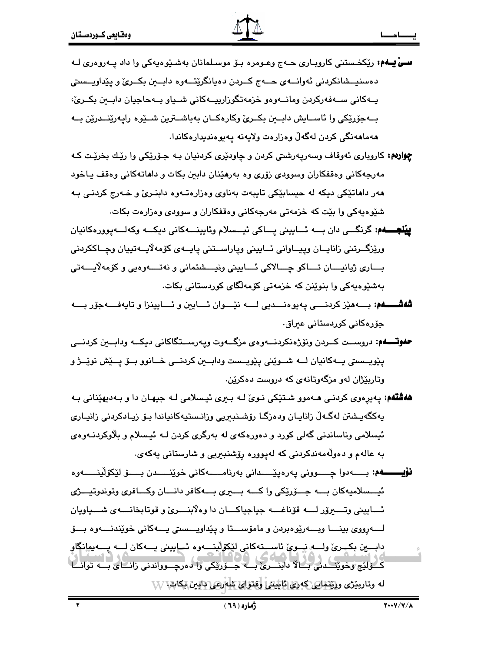- **سے پــهم:** ریکخـستنی کاروپـاری حــهج وعـومره بـۆ موسـلمانان بهشـێوهبهکی وا داد پــهروهری لــه دهسنيسشانكردني ئەوانسەي حسەج كىردن دەيانگريتسەوە دابىين بكىرى و پيداويىسىتى پـهکانی سـهفهرکردن ومانـهوهو خزمهتگورارییـهکانی شـیاو بـهحاجیان دابـهن بکـریّ، بـهجوّريّكي وا ئاســايش دابــين بكــريّ وكارهكــان بهباشــترين شــێوه رايـهرێنــدرێن بــه هەماھەنگى كردن لەگەلّ وەزارەت ولايەنە يەيوەنديدارەكاندا.
- **چوارهم:** کارویاری ئەوقاف وسەریەرشتی کردن و چاودێری کردنیان بـه جـۆرێکی وا رێـك بخرێـت کـه مهرجهکانی وهقفکاران وسوودی زۆری وه بهرهیدان دابین بکات و داهاتهکانی وهقف یـاخود ههر داهاتێکی دیکه له حیسابێکی تایبهت بهناوی وهزارهتـهوه دابنـریّ و خـهرج کردنـی بـه شێوهیهکی وا بێت که خزمهتی مهرجهکانی وهقفکاران و سوودی وهزارهت بکات.
- **يينجــــهم**: گرنگـــي دان بــــه ئـــاييني پــــاکي ئيـــسلام وئايينــــهکاني ديکــــه وکهلــــه.پورهکانيان وريّزگــرتني زانايــان وييــاواني ئــاييني وياراســتني يايــهي كۆمەلايــەتييان وچــاككردني بساري ژيانيسان تساكو چسالاكي ئسابيني ونيسشتماني و نەتسەوەيي و كۆمەلايسەتى بەشێوەپەكى وا بنوێنن كە خزمەتى كۆمەلگاي كوردستانى بكات.
- **شەشـــــەم:** بــــەمێز کردنــــى يەيوەنـــديى لــــە نێـــوان ئــــايين و ئـــايينزا و تايەفــــەجۆر بــــە جۆرەكانى كوردستانى عىراق.
- **حھوتـــــھم:** دروســـت كـــردن ونۆژەنكردنـــــهوهي مزگــــهوت ويـهرســـتگاكاني ديكـــه ودابــــعن كردنــــي پٽويــستي پــهکانيان لـــه شــوٽِني پٽويــست ودابــين کردنـــي خــانوو بـــۆ پـــٽش نوٽيــژ و وټاريێژان لهو مزگهوټانهي که دروست دهکرێن.
- **ههشتهم:** پهپرهوي کردنـي هـهموو شـتێکي نـوی ّلـه بـبری ئيـسلامي لـه جبهـان دا و بـهديهێناني بـه يەكگەيـشتن لەگـەلّ زانايـان ودەزگـا رۆشـنبـريى وزانـستيەكانياندا بـۆ زيـادكردنى زانيـارى ئیسلامی وناساندنی گەلی کورد و دەورەکەی لە بەرگری کردن لــه ئیـسلام و بلاوکردنــەوەی به عالهم و دەولەمەندكردنى كە لەيوررە رۆشنبىرىي و شارستانى يەكەي.
- **نۆيىـــــــەم:** بــــــەدوا چــــــوونى يەرەپێــــــدانى بەرنامــــــەكانى خوێنــــــدن بــــــۆ لێكۆڵێنــــــەوە ئيـــسلاميهكان بــــه جـــۆرپكي واكــــه بــــبرى بــــهكافر دانــــان وكـــافرى وتوندوتيــــژى ئـــابيني وتــــــرۆر لـــــه قۆناغــــه جياجياكــــان دا وەلابنــــرىٰ و قوتابخانــــه ي شــــياويان دابسين بكبريّ ولسه نسويّ ئاسستهكاني ليُكوّلينسهوه ئساييني يسهكان لسه يسهيهانگاو کے لائج وخویف دی جے لا دابنے کی بے جے زریکی وا دہ رچے وواندنی زانے کی بے توانے له وتارينژي وزينتهايي كه ري نايليني وفتواي شارعي دابين بكاس VV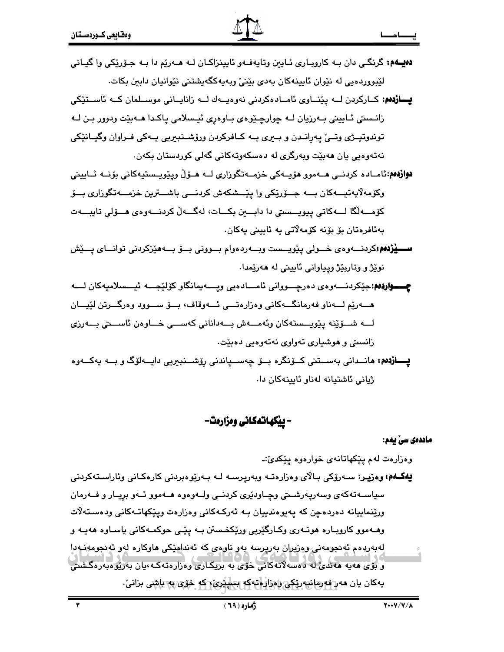- **دهيـهم:** گرنگـي دان بـه کارويـاري ئـايين وتايهفـهو ئايينزاکـان لـه هــهريم دا بـه جـۆرپکي وا گيـاني لیّبووردهیی له نیّوان ئایینهکان بهدی بیّنیٌ وبهیهکگهیشتنی نیّوانیان دابین بکات.
- **يسازدهم:** كــاركردن لــه يێنــاوي ئامــادەكردنى نەوەپــەك لــه زانايــانى موســلمان كــه ئاســتێكى زانـستي ئــاييني بــهرزيان لــه چوارچـێوهي بــاوهري ئيـسلامي ياكـدا هــهبێت ودوور بـن لــه توندوتيـژي وتـي په رانـدن و بـيري بـه كـافركردن ورۆشـنبيريي يـهكي فـراوان وگيـانێكي نەتەرەپى يان ھەبێت ويەرگرى لە دەسكەوتەكانى گەلى كوردستان بكەن.
- **دوازدهم:**ئامـاده کردنــي هــهموو هۆپــهکي خزمــهتگوراري لــه هــۆلّ ويێوپــستيهکاني بۆنــه ئــاييني وکۆمەلاپەتپــەکان بـــە جــۆرێِکی وا پێــشکەش کردنـــی باشـــترین خزمـــەتگوزاری بـــۆ كۆمـــەلگا لـــەكاتى پيويـــستى دا دابـــين بكـــات، لەگـــەلّ كردنــــەوەى هـــۆلى تايبــــەت بەئافرەتان بۆ بۆنە كۆمەلاتى يە ئايينى يەكان.
- ســـيْزدهم:کردنـــهوهى خـــولى يێويـــست وبـــهردهوام بـــوونى بـــوّ بـــهمێزکردنى توانـــاى پـــێش نوێژ و وتاریێژ وییاوانی ئاپینی له ههرێمدا.
- **چــــواردەم**:حێکردنــــەوەي دەرچـــووانى ئامـــادەبى ويــــەيمانگاو كۆلێجـــە ئيـــسلامپەكان لــــە هـــــــوريّم لـــــــوناو فــورمانگــــوکاني وهزارهتــــي ئــــووقاف، بــــوّ ســــووبر وهرگــــرتن لێپــــان لـــه شـــۆێنە يێويـــستەكان وئەمـــەش بـــەدانانى كەســـى خـــاوەن ئاســـتى بـــەرزى زانستي و هوشياري تهواوي نهتهوهيي دهبيّت.
- **يــــازدەم: م**انــدانى بەســتنى كــۆنگرە بــۆ چەســـياندنى رۆشـــنبىريى دايـــەلۆگ و بـــە يەكـــەوە ژیانی ئاشتیانه لەناو ئاپینەكان دا.

– بیکهانهکانی وهزارهت–

#### ماددەى سى يەم:

وهزارهت لهم يێكهاتانهى خوارهوه يێكديٚ:۔

**يەكــەم: وەزيـر:** ســەرۆكى بـالاي وەزارەتــە ويەريرســە لــە بــەرێوەبردنى كارەكـانى وئاراسـتەكردنى سیاســه-تهکهی وسهرپـهرشــتی وچــاودێری کردنــی ولــهو،وه هــهموو ئــهو برپــار و فــهرمان ورێنماییانه دەردەچن کە پەيوەندىيان بـە ئەركـەكانى وەزارەت ويێكھاتـەكانى ودەسـتەلات وهــهموو کارويــاره هونــهري وکــارگێريي ورێکخـستن بــه پێـي حوکمــهکاني پاســاوه ههيــه و لەبەردەم ئەنجومەنى وەريران بەريرسە بەو ناوەي كە ئەندامێكى ھاوكارە لەو ئەنجومەنىەدا و بۆي مەيە مەندى لە دەسەلاتەكانى خۆي بە بريكارى وەزارەتەكە،يان بەريوەبەرەگشىنى پەكان يان مەر نەرەلىيەرىكى راەزار انتەكە بىلىيرى كە خۆي بە باشى برانى.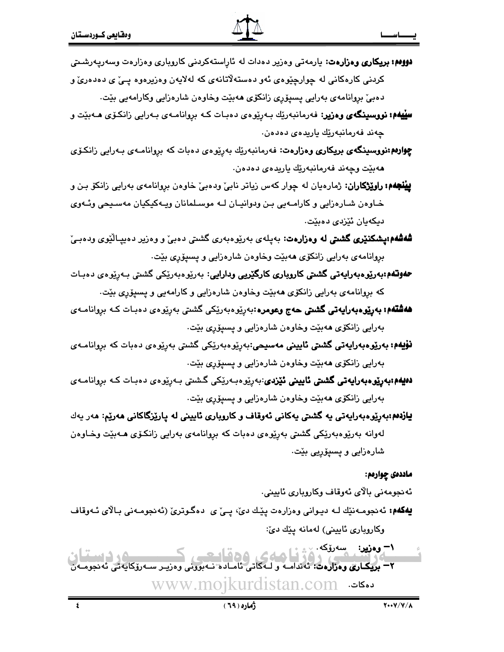**دوومم: بریکاری و دزارهت**: یارمهتی و دزیر دهدات له ئاراستهکردنی کاروباری و دزارهت وسهرپهرشتی کردنی کارهکانی له چوارچێوهی ئهو دهستهلاتانهی که لهلایهن وهزیرهوه پـیّ ی دهدهریّ و

دهبيٌ بروانامهي بەرايى پسپۆرى زانكۆى ھەبێت وخاوەن شارەزايى وكارامەيى بێت.

- **سینیهم: نووسینگەی وەزیر:** فەرمانبەرێك بـەرپیوەی دەبـات كـە بروانامـەی بـەرايى زانكـۆی ھـﻪبیدت و چەند فەرمانبەرێك ياريدەي دەدەن.
- <mark>چِوارەم:نووسىينگەي بريكارى وەزارەت</mark>: فەرمانبەرێِك بەرِێوەى دەبات كە برِوانامـەى بـەرايى زانكۆى هەبێت وچەند فەرمانبەرێك پاريدەي دەدەن.
- **پینجهم: راویزگاران**: ژمارهیان له چوار کهس زیاتر نابیّ ودهبیّ خاوهن بروانامهی بهرایی زانکوّ بـن و خـاوهن شـارهزايي و كارامـهيي بـن ودوانيـان لـه موسـلمانان ويـهكيكيان مهسـيحي وئـهوي دیکهیان ئێزدی دهبێت.
- **شەشەم:پشكنێرى گشىتى لە وەزارەت**: بەپلەى بەرێوەبەرى گشىتى دەبىٚ و وەزير دەيپـالێوى ودەبـێ بروانامهی بهرایی زانکۆی **م**هبێت وخاوهن شارهزایی و پسپۆری بێت.
- **حەوتەم؛بەرێوەبەرايەتى گشتى كاروبارى كارگێريى ودارايى:** بەرێوەبەرێكى گشتى بەرێوەى دەبـات که بړوانامهی بهرایی زانکۆی ههبێت وخاوهن شارهزایی و کارامهیی و پسپۆری بێت.
- **هەشتەم: بەرێوەبەراپەتى گشتى حەج وعومرە**:بەرِێوەبەرێکى گشتى بەرپۆەي دەبـات کـﻪ بروانامــ*ەي* بەرايى زانكۆى ھەبێت وخاوەن شارەزايى و پسپۆرى بێت.
- **نۆيەم: بەرێوەبەرايەتى گشتى ئايينى مەسىحى**:بەرێوەبەرێكى گشتى بەرێوەى دەبات كە بروانامــ*ەى* بەرايى زانكۆى ھەبێت وخاوەن شارەزايى و پسپۆرى بێت.
- **دەيەم؛بەرێوەبەرايەتى گشتى ئايينى ئێزدى**:بەرپێوەبەرێكى گشتى بەرپێوەى دەبـات كـە بروانامـەى بەرايى زانكۆى ھەبێت وخاوەن شارەزايى و پسپۆرى بێت
- یازدهم؛بهریوهبهرایهتی یه گشتی یهکانی ئهوقاف و کاروباری ئایینی له پاریزگاکانی ههریم: مهر یهك لەوانە بەرێوەبەرێکى گشىتى بەرێوەى دەبات کە بروانامەى بەرايى زانکۆى ھـﻪبێت وخـاوەن شارەزايى و پسپۆريى بێت.

### ماددەى چوارەم:

ئەنجومەنى بالاي ئەوقاف وكاروبارى ئايينى.

- **یهکهم:** ئەنجومـەنێك لــه دیـوانی وەزارەت پێـك دى، پــی ٔی دەگـوتری (ئەنجومـەنی بـالای ئــەوقاف وكاروباري ئاييني) لەمانە يێك دێ:
- ان 
- - !1-<-0!0-%K07B%<E@\* www.mojkurdistan.com A B۱– وەزير: <sub>س</sub>سەرۆكە سىمىستان.<br>مەنبەر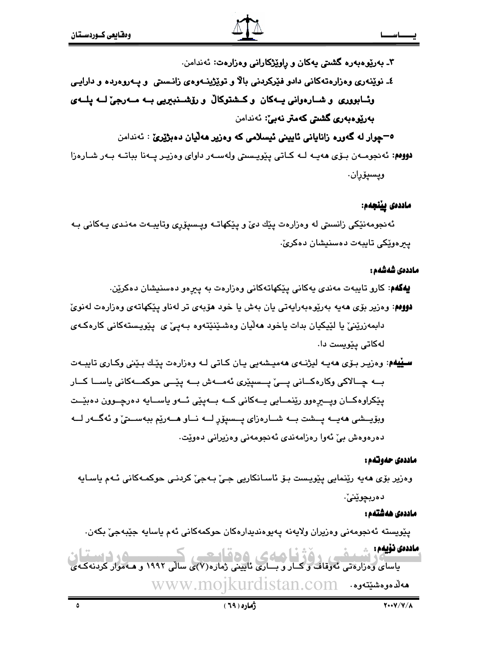۳ـ بەريوەبەرە گشتى يەكان و راويژكارانى وەزارەت: ئەندامن.

# ٤ـ نوێنەرى وەزارەتەكانى دادو فێركردنى بالا و توێڑينــەوەي زانـستى و يــەروەردە و دارايـى وئــابووري و شــارەوانى يــەكان و كــشتوكالْ و رۆشــنبيريى بــه مــەرجىٰ لــه يلــهي بەرپوەبەرى گشتى كەمتر نەبى: ئەندامن

<sup>0</sup>–چوار له گەورە زانايانى ئايينى ئېسلامى كە وەزير ھەلبان دەبژێرێ : ئەندامن

دووم: ئەنجومــەن بـۆى ھەپــە لــە كـاتى يێوپـسىتى ولەســەر داواى وەزيـر يــەنا بباتــە بـەر شـارەزا ويسيۆران.

### ماددەى يېنجەم:

ئەنجومەنێكى زانسىتى لە وەزارەت پێك دى و پێكھاتـﻪ وپـسپۆرى وتايبـﻪت مەنـدى يـﻪكانى بـﻪ يىرەويكى تايبەت دەسنېشان دەكرىٰ.

#### ماددەى شەشەم :

**يهکهم**: کارو تايبهت مەندى يەکانى يێکهاتەکانى وەزارەت بە يېرەو دەسنيشان دەکرێن.

- **دووم**: وهزیر بۆی هەیە بەرێوەبەرایەتی یان بەش یا خود هۆبەی تر لەناو یێکهاتەی وەزارەت لەنویّ دابمەزرێنيّ يا لێڀکيان بدات ياخود ھەڵيان وەشىێنێتەوە بـەيـێ ي پێويـستەکانى کارەکـەي لەكاتى يۆيست دا.
- **سيپهم**: وهزيـر بـۆي هەپــه ليژنــهي هەميـشەيي يـان كــاتي لــه وهزارهت پێـك بـێني وكــاري تايبــهت بــه چــالاکی وکارہکــانی پــی یــسیێری ئهمــهش بــه یێــی حوکمــهکانی یاســا کــار پٽکراوهکــان ويـــيرهوو ريٽنمــايي پـــهکاني کــه بـــهيـٽي ئـــهو پاســايه دهرچــوون دهبٽــت وبۆيىشى ھەيــە يــشت بــە شــارەزاي يــسيۆر لــە نــاو ھــەرێم ببەســتێ و ئەگــەر لــە دەرەوەش بے' ئەوا رەزامەندى ئەنجومەنى وەزيرانى دەويّت.

#### ماددەي حەوتەم :

وەزیر بۆی مەپە رێنمايی پێویست بـۆ ئاسـانکاریی جـیٚ بـەجیٚ کردنـی حوکمـەکانی ئـەم ياسـايە دەربچوێنىٚ٠

#### ماددەى ھەشتەم :

يێويسته ئەنجومەنى وەزيران ولايەنە پەيوەندىدارەكان حوكمەكانى ئەم ياسايە جێبەجىٚ بكەن. ماددەى ئۆيەم : ﴿ بامهه، وهقابعت

باسای وَمَزَارَةَتِی نَّهُوقَافَ وَ کَـَـار وَ بِــَـارِی نَایینی ژماره(۷)ی سالی ۱۹۹۲ و مـهموار کردنهکـهی WWW.mojkurdistan.com مەللەمومشىيتەوە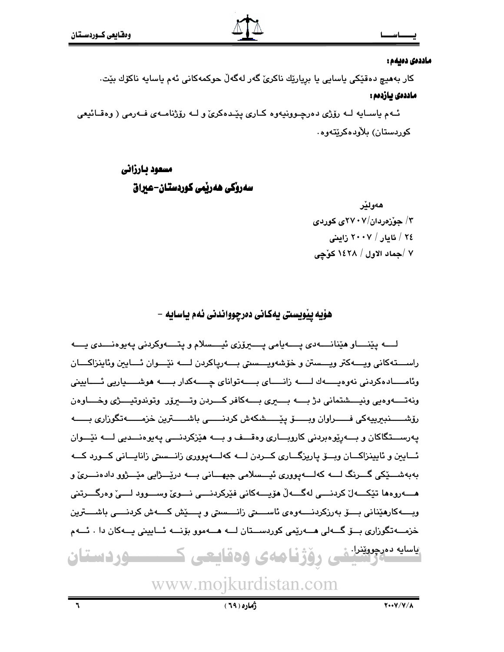#### ماددەى دەيمە :

کار بەھىچ دەقێكى ياسايى يا بريارێك ناكرىّ گەر لەگەڵ چوكمەكانى ئەم ياسايە ناكۆك بێت. ماددەى بازدەم :

ئــهم ياســايه لــه رۆژى دەرچــوونيەوە كــارى پێـدەكرىّ و لــه رۆژنامــهى فــهرمى ( وەقــائيعى کورېستان) پلاوېدمکريتهوه٠

### مسعود بارزاني

سەروكى ھەربمى كوردستان-عىراق

هەو لڭر ۲/ جوزهردان/۲۷*۰۷ع* کوردی ٢٤ / ئايار / ٢٠٠٧ زاينى ٧ /جماد الاول / ١٤٢٨ كۆچى

هۆيه يێويستي يەكاني دەرچوواندني ئەم ياسايە –

لـــه يێنـــاو هێنانـــه٥ي پـــهيامي پــــهرۆزي ئيـــسلام و پتــــهوكردني پهيوهنـــدي پـــه راســـتهكاني ويــــهكتر ويـــستن و خۆشەويـــستى بــــهريـاكردن لــــه نێـــوان ئـــايين وئاينزاكـــان وئامـــادەكردنى نەوەبـــــەك لـــــــــە زانــــــاى بـــــــەتواناي چـــــــەكدار بـــــــه هوشــــــياريى ئـــــابينى ونه تــــهوهيي ونيــــشتماني دژ بــــه بــــــري بــــهكافر كــــردن وتـــــــروّر وتوندوتيــــرّي وخــــاوهن رۆشىسىنېيرىيەكى فىسىراوان وبىسىق يێىسىشكەش كردنىسىي باشىسىترىن خزمىسىەتگوزارى بىسىە يەرســـتگاكان و بــــەريوەبردنى كاروبــــارى وەقـــف و بــــه هيزكردنــــى يەيوەنـــديى لــــه نيْـــوان ئسايين و ئايينزاكسان ويسق ياريزگساري كسردن لسه كهلسهيووري زانسستي زانايساني كسورد كسه بەبەشىڭكى گىرنگ لـــە كەلـــەيوررى ئيـــسلامى جيھـــانى بـــە درێـــژايى مێـــژوو دادەنـــرىّ و ويــــه كارهێناني بـــــوّ بهرزكردنـــــهوهي ئاســـــتي زانــــستي و يـــــێش كــــهش كردنـــــي باشـــــترين خزمـــهتگوزاری بــــۆ گـــهلی هــــهریمی کوردســـتان لـــه هـــهموو بۆنـــه ئـــایینی پـــهکان دا . ئـــهم <sup>یاسایه ده</sup>زدویتنانشی رؤژنامهی وهقایعی ک<del>ست م</del>وردستان

www.mojkurdistan.com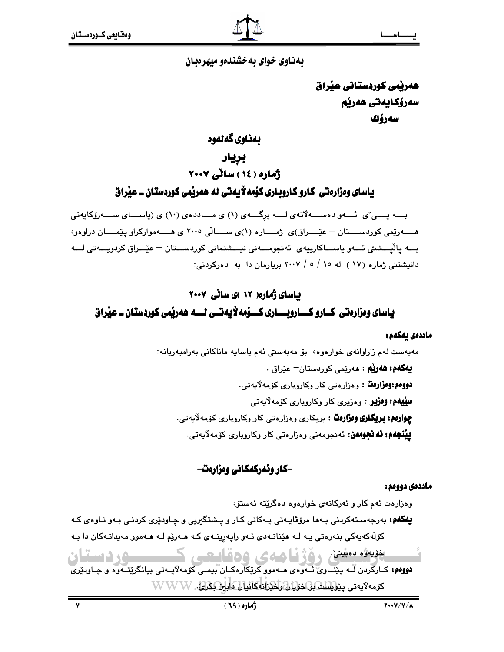بهناوی خوای به خشندهو میهرهبان

هەربمى كوردستانى عبراق سەرۆكايەتى ھەرپم سەرۆك

بەناوى گەلەوە

بريار

ژماره ( ١٤ ) سانی ٢٠٠٧

یاسای ومزارهتی کارو کاروباری کوْمەلاّیەتی له هەریّمی کوردستان ــ عیّراق

بـــه یــــی ٌی نُـــهو دهســـه لاّتهی لـــه برگـــهی (۱) ی مـــاددهی (۱۰) ی (یاســـای ســـهروّکایهتی هــــــــــــوريْمي كوردســــــتان – عيّــــــراق)ي ژمــــــاره (١)ي ســـــالّـي ٢٠٠٥ ي هــــــه مواركراو ييّمــــــان دراوهو، بـــه پالْيـــشتى ئـــهو پاســـاكارييهى ئەنجومـــەنى نيـــشتمانى كوردســـتان — عێـــراق كردويـــەتى لـــه دانیشتنی ژماره (۱۷ ) له ۱۰ / ۰ / ۲۰۰۷ بریارمان دا به دهرکردنی:

# ئاسای ژماره( ۱۲ )ی سانی ۲۰۰۷ یاسای ومزارہتی کسارو کساروںسساری کسوْمه لایھتسی ٹسم ھەریمی کوردستان ۔ عیراق

### ماددەى يەكەم :

مەبەست لەم زاراوانەي خوارەوە، بۆ مەبەستى ئەم ياسايە ماناكانى بەرامبەريانە: **يەكەم: ھەرپم : م**ەرپمى كوردستان<sup>ــ</sup> عيراق . دووهم:وهزارهٿ : وهزارهتي کار وکاروباري کۆمهلايەتي. **سِپْیهم: وِمِزْیِر**ِ : وِمِزِیرِی کار وِکاروِیارِی کۆمەلایەتی. **چوارهم: بریکاری وهزارهت** : بریکاری وهزارهتی کار وکاروباری کۆمەلايەتی. **پِیْنْجِهْم: ئه نجومهن:** ئەنجومەنى وەزارەتى كار وكاروبارى كۆمەلايەتى.

### -کار ونهرکهکانی وهزارهت-

### ماددەى دووەم :

وەزارەت ئەم كار و ئەركانەي خوارەوە دەگرێتە ئەستۆ:

**یهگهم:** بهرجهسـتهکردنی بـهها مرۆڤایـهتی یـهکانی کـار و پـشتگیریی و چـاودێری کردنـی بـهو نـاوهی کـه کۆلّەکەپەکى بنەرەتى يـە لـە ھێنانـەدى ئـەو رايەرينـەى كـە ھـەرێم لـە ھـەموو مەيدانـەكان دا بـە

ضيف منين ، هُزُّ نامهي وهقايعي ک **SECTION** دووهم: کارکردن لَـه بيٽنـاوي ئـهوهي هـهموو کريکارهڪان بيمـي کومه لايـهتي بيانگريتـهوه و چـاوديري كۆمەلايەتى ي<u>نوپىلىك ئى خۇيان راخىزا</u>نەكائىان داي<del>ان كىراغ.</del> W W W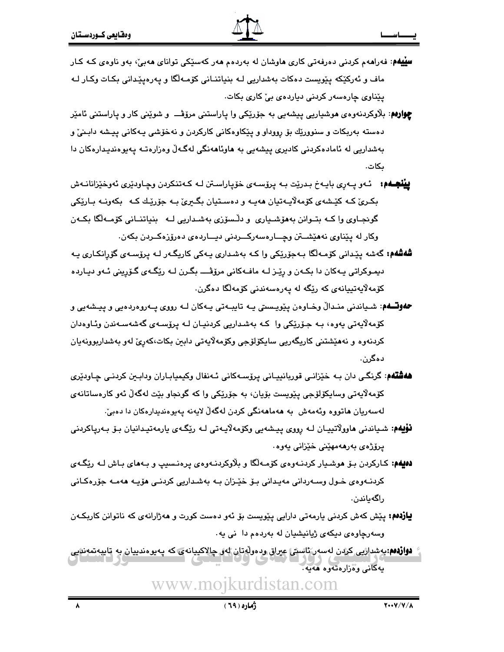- **سِلِیهم**: فەراھەم کردنی دەرفەتی کاری ماوشان لە بەردەم ھەر کەسێکی توانای ھەبیٚ، بەو ناوەی کـە کـار ماف و ئەركێكە پێويست دەكات بەشداريى كە بنياتنـانى كۆمـەلگا و پەرەپێدانى بكـات وكـار لـە یێناوی چارہسەر کردنی دیاردہی بی٘ کاری بکات.
- **چوارهم**: بلاّوکردنهوهی هوشیاریی پیشهیی به جوّریّکی وا پاراستنی مروّڤـــ و شویّنی کار و پاراستنی ئامیّر دهسته بهربکات و سنوورێِك بۆ رووداو و پێِکاوهکانی کارکردن و نهخۆشی پـهکانی پیشه دابـنیٚ و بەشداریی لە ئامادەكردنى كادىرى يېشەيى بە ھاوئاھەنگى لەگەلّ وەزارەتـە پەيوەندېدارەكان دا بكات.
- **پينجـهم:** ئـهو پـهرِي بايـهخ بـدرێت بـه پرۆسـهى خۆپاراسـتن لـه كـهتنكردن وڃـاودێرى ئهوخێزانانـهش بکريٰ کـه کێشهي کۆمهلايـهتيان ههيـه و دهسـتيان بگـيريٰ بـه جۆرێـك کـه \_بکهونـه بـارێکي گونجـاوي وا کـه بتـوانن بههۆشـياري و دلـْسۆزي بهشـداريي لــه بنياتنــاني کۆمــهلگا بکــهن وکار له يێناوي نههێشتن وچــارهسهرکــردنی دیــاردهی دهرۆزهکـردن بکهن.
- **شەشەم:** گەشە يێدانى كۆمـەڵگا بـەجۆرێكى وا كـە بەشدارى يـەكى كاريگـەر لـە يرۆسـەي گۆرانكـارى يـە دیموکراتی بـهکان دا بکـهن و رێـِز لــه مافــهکانی مرۆڤــــ بگـرن لــه رێِگـهی گـۆرینی ئـهو دیـارده كۆمەلايەتييانەي كە رێگە لە يەرەسەندنى كۆمەلگا دەگرن.
- **حفوتـــفم**: شـياندني منـدالٌ وخــاوهن يێويــستي پــه تايبــهتي پــهکان لــه رووي پــهروهردهيي و پيــشهيي و کۆمەلايەتى يەوە، بـە جۆرێکى وا كـە بەشداريى كردنيـان لـە يرۆسـەى گەشەسـەندن وئـاوەدان کردنەوە و نەھێشتنى کاریگەریی سایکۆلۆجی وکۆمەلايەتی دابىن بکات،کەریؒ لەو بەشداربوونەيان دەگرن.
- ه**هشتهم**: گرنگی دان بـه خێزانـی قوربانییـانی پرۆسـهکانی ئـهنفال وکیمیابـاران ودابـین کردنـی چـاودێری کۆمەلايەتى وسايکۆلۆجى پێويست بۆيان، بە جۆرێکى وا کە گونجاو بێت لەگەلْ ئەو کارەساتانەي لەسەريان ھاتورە وئەمەش بە ھەماھەنگى كردن لەگەلّ لايەنە يەبوەندېدارەكان دا دەبىّ:
- **نۆيەم:** شـياندنى ھاوولاتييـان لــه رووي پـيـشەيى وكۆمەلايـەتى لــه رێگـەي يارمەتيـدانيان بـۆ بـەرياكردنى يرۆژەي بەرھەمھێنى خێزانى يەوە٠
- **دهیهم:** کـارکردن بـۆ هوشـیار کردنـهوهي کۆمـهالگا و بلاوکردنـهوهي پرهنـسيپ و بـههاي بـاش لـه رێِگـهي کردنـهوهي خـول وسـهرداني مهيـداني بـۆ خێـزان بـه بهشـداريي کردنـي هۆپـه ههمـه جۆرەکـاني راگەياندن.
- **یازدهم:** پێش کهش کردنی بارمهتی دارایی پێویست بۆ ئەو دەست کورت و هەژارانەی کە ناتوانن کاربکـەن وسەرچاوەي دىكەي ژيانيشيان لە بەردەم دا نى يە.
- **دواردهم**:بوشداریی کردن لەسەر ئاستى عیراق ودەولەتان لەر چالاكییانەی كە پەيوەندییان بە تايپەتمەندیی په کانې ووژاره ته وه هه په.

www.mojkurdistan.com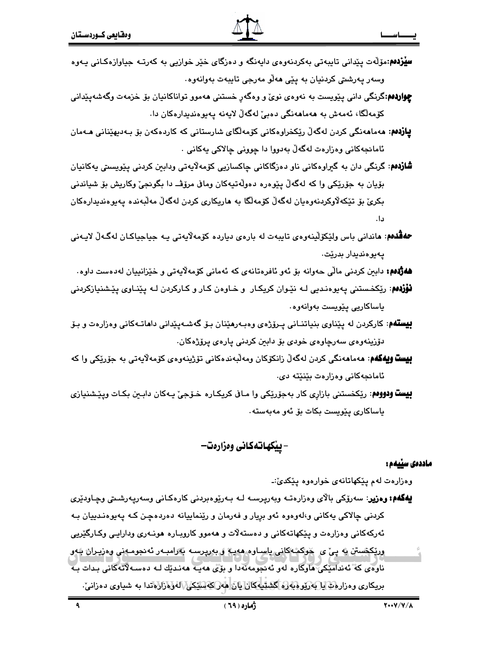- **سلزدهم:**مۆلەت يێدانى تايبەتى بەكردنەوەي دايەنگە و دەزگاي خێر خوازيى بە كەرتـە جياوازەكـانى يـەوە وسهر پهرشتي کردنيان به يێي ههڵو مهرجي تايبهت بهوانهوه.
- **چواردهم**:گرنگی دانی پیویست به نهوهی نویٌ و وهگهر خستنی ههموو تواناکانیان بو خزمهت وگهشهییدانی كۆمەلگا، ئەمەش بە ھەماھەنگى دەبئ لەگەلْ لايەنە يەيوەندېدارەكان دا.
- **يازدەم: م**ەماھەنگى كردن لەگەڵ رێكخراوەكانى كۆمەلگاي شارستانى كە كاردەكەن بۆ بـەدىھێنانى ھـﻪمان ئامانجەكانى وەزارەت لەگەلّ بەدووا دا چوونى چالاكى پەكانى ٠
- **شازدهم**: گرنگی دان به گیراوهکانی ناو دهزگاکانی چاکسازیی کۆمەلاپەتی ودابین کردنی پیویسىتی پەکانپان بۆيان به جۆرێِکي وا که لهگەڵ يێوەرە دەوڵەتپەکان وماڧى مرۆڤ دا بگونجيٚ وکارپش بۆ شياندنى بکريٰ بۆ تێکەلاوکردنەوەيان لەگەلْ کۆمەلگا بە ھاريکارى کردن لەگەلْ مەلبەندە يەيوەندېدارەکان دا.
- ههڤلهم: هانداني باس ولێکۆلێنەوەي تايبەت لە بارەي دياردە کۆمەلاّيەتى يــه جياجياكـان لەگـەلّ لايــەنى يەيوەندىدار بدريّت.
- **هەژدەم:** دابين كردنى مالّى حەوانە بۆ ئەو ئافرەتانەي كە ئەمانى كۆمەلايەتى و خێزانييان لەدەست داوە
- **نۆزدهم**: رێِکخستنی پهیوهندیی لـه نێوان کریِکـار و خـاوهن کـار و کـارکردن لـه پێنـاوی پێشنیازکردنی پاساكاريى يێويست بەوانەوە٠
- **بیستهم**: کارکردن له پێناوی بنیاتنـانی پـرۆژهی وهبـهریێنان بـۆ گەشـەيێدانی داھاتـهکانی وهزارەت و بـۆ دۆزينەوەي سەرچاوەي خودى بۆ دابين كردنى پارەي پرۆژەكان.
- **بِيست ويەكەم**: مەمامەنگى كردن لەگەلّ زانكۆكان ومەلّبەندەكانى تۆژپنەوەي كۆمەلايەتى بە جۆرێكى وا كە ئامانجەكانى وەزارەت بێنێتە دى.
- **بيست ودووه**: ريکخستني بازاري کار بهجوّريکي وا مـاڧ کريکـاره ـخـوّجيّ پـهکان دابـين بکـات ويـێـشنيازي پاساكارى پێويست بكات بۆ ئەو مەبەستە٠

### – ييْكهاتەكانى وەزارەت—

#### ماددەى سنىمم:

وهزارهت لهم پێکهاتانهی خوارهوه پێکدێ:۔

**يەگەم: وەزير**: سەرۆكى بالاي وەزارەتـﻪ وبەريرسـﻪ ﻟـﻪ ﺑـﻪرێوەبردنى كارەكـانى وسەريـﻪرشـتى وڃـﺎودێرى کردنی چالاکی یهکانی و،لهوهوه ئهو بږیار و فهرمان و رێنماییانه دهردهچن کـه پهیوهنـدییان بـه ئەركەكانى وەزارەت و يێكهاتەكانى و دەستەلات و ھەموو كاروبـارە ھونـەرى ودارايـى وكـارگێريى وريکڪستن په پئ ي خوکم کاني پاسـاوم ههيه و بهرپرسـه پهرامبـهر ئهنجومـهني وهزيـراڻ بلهو ناوەي كە ئەندامىكى ھاوكارە لەر ئەنجومەنەدا و بۆى ھەپ ھەندىك لـە دەسـەلاتەكانى بـدات بـە بريكاري وهزارها يا بهريوههاره گشتيكان يان هاركة سيكار/لهوهزارهاتدا به شياوي دهزاني.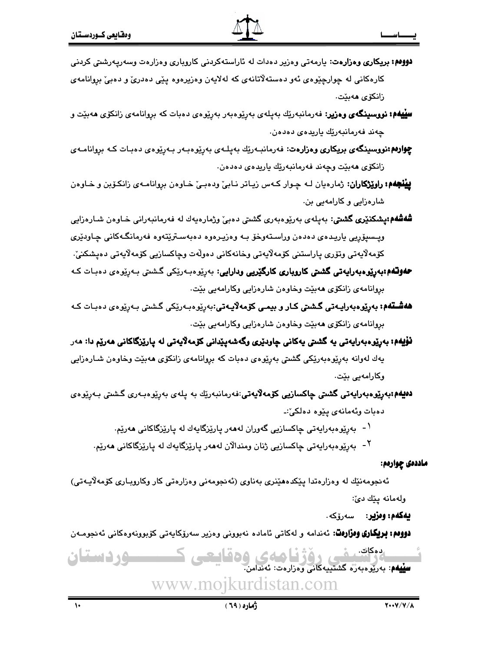زانكۆي ھەيئت.

**سلیلیهم: نووسینگەی وەزیر**: فەرمانبەرێك بەپلەی بەرێوەبەر بەرێوەی دەبات كە بروانامەی زانكۆی ھەبێت و چەند فەرمانبەرێك ياريدەي دەدەن.

**چوارىم:نووسىينگەي بريكارى وەزارەت**: فەرمانبـەرێك بەيلـەي بەرێوەبـەر بـەرێوەي دەبـات كـە بروانامـەي زانكۆي ھەبێت وچەند فەرمانبەرێك ياريدەي دەدەن.

**پيُنْجِهم: راوێِرْکاران**: ژمارەيان لـه چـوار کـهس زيـاتر نـابيِّ ودەبـيِّ خـاوەن بروانامـهى زانكـۆبن و خـاوەن شارەزايى و كارامەيى بن.

**شەشەم:يشكنێرى گشتى:** بەيلەي بەرێوەبەرى گشتى دەبى وژمارەپەك لە فەرمانبەرانى خـاوەن شـارەزابى وپـسپۆريى ياريـدەي دەدەن وراسـتەوخۆ بـه وەزيـرەوە دەبەسـترێتەوە فەرمانگـەكانى چـاودێرى كۆمەلايەتى وتۆرى ياراستنى كۆمەلايەتى وخانەكانى دەولەت وچاكسازيى كۆمەلايەتى دەيشكنى،

**حەوتلەم:بەرێوەبەرايەتى گشتى كاروپارى كارگێريى ودارايى**: بەرێوەبەرێکى گشتى بەرێوەى دەبـات كـە بروانامهي زانكۆي هەبيت وخاوەن شارەزايى وكارامەيى بيت.

**هەشـتەم: بەرپوەبەراپـەتى گـشتى كـار و بېمـى كۆمەلاپـەتى:**بەرپوەبـەرپكى گـشتى بـەرپوەى دەبـات كـە بروانامهي زانكۆي هەبيّت وخاوەن شارەزايى وكارامەيى بيّت.

**نۆيەم:** بەرپوەبەرايەتى يە گشتى يەكانى جاودېرى وگەشەپپدانى كۆمەلايەتى لە پارپزگاكانى ھەرپم دا: مەر يەك لەوانە بەرپوەبەرپكى گشىتى بەرپوەي دەبات كە بروانامەي زانكۆي ھەبپت وخاوەن شـارەزايى وكارامەيى بێت.

**دەيەم:بەرێوەبەرايەتى گشىتى چاكسازىي كۆمەلايەتى**:فەرمانبەرێك بە يلەي بەرێوەبـەرى گىشىتى بـەرێوەي دەبات وئەمانەي يێوە دەلكىٚ:۔

<sup>۱</sup> - بەرێوەبەرايەتى چاكسازيى گەوران لەھەر يارێزگايەك لە يارێزگاكانى ھەرێم.

<sup>۲</sup>- بەرێوەبەرايەتى چاكسازيى ژنان ومندالان لەھەر يارێزگايەك لە يارێزگاكانى ھەرێم.

ماددەى چوارەم:

ئەنجومەنێك لە وەزارەتدا يێكدەھێنرى بەناوى (ئەنجومەنى وەزارەتى كار وكاروبـارى كۆمەلايـەتى) ولەمانە پێك دێ:

**يەكەم: وەزير:** سەرۆكە.

**دوومم: بريكاري ومزارەت**: ئەندامە و لەكاتى ئامادە نەبوونى وەزير سەرۆكاپەتى كۆبوونەوەكانى ئەنجومـەن

دەكات. ومقاد ــوردستان مىسىسى كەنتىسىسىسى كۆك كىلەكى<br>**سىيھە**: بەرىيوەبەرە گشتىييەكانى وەزارەت: ئەندامن www.mojkurdistan.com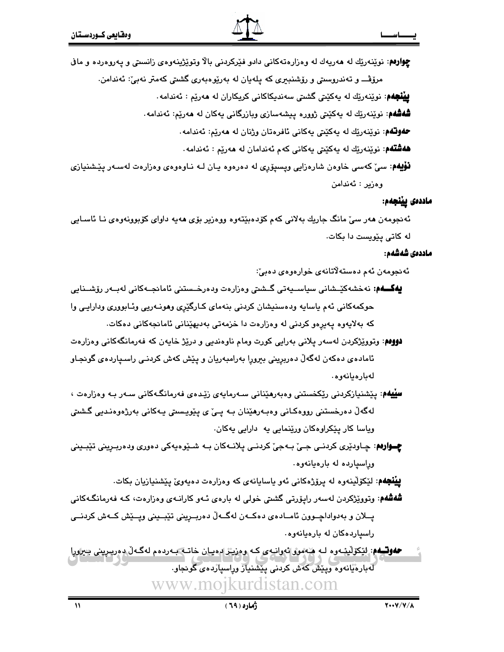**چوارهم**: نوێنەرێك لە ھەريەك لە وەزارەتەكانى دادو فێركردنى بالا وتوێژينەوەي زانسىتى و يەروەردە و ماڧ

مرۆڤـــ و تەندروستى و رۆشندېرى كە يلەيان لە بەريوەبەرى گشتى كەمتر نەبىؒ: ئەندامن.

**بينجهم**: نوێنەرێك لە پەكێتى گشتى سەندىكاكانى كريكاران لە ھەرێم : ئەندامە .

**شەشەم**: نوێنەرێك لە پەكێتى ژوورە پېشەسازى وبازرگانى پەكان لە ھەرێم: ئەندامە.

**حفوتگم**: نویندریّك له پهكیْتی پهكانی ئافرهتان وژنان له ههریم: ئەندامه.

**فەشتەم**: نوێنەرێك لە پەكێتى پەكانى كەم ئەندامان لە ھەرێم : ئەندامە٠

**نۆپەم**: سىّ كەسى خاوەن شارەزايى وپسپۆرى لە دەرەوە يـان لـە نـاوەوەى وەزارەت لەسـەر پێشنيازى وەزىر : ئەندامن

#### ماددەى يێنجەم:

ئەنجومەن ھەر سىٰ مانگ جاريك بەلانى كەم كۆدەبێتەوە ووەزير بۆي ھەيە داواي كۆبوونەوەي نــا ئاســايى له کاتی پێویست دا بکات.

#### ماددەى شەشەم:

ئەنجومەن ئەم دەستەلاتانەي خوارەوەي دەبىٰ:

- **يەكــەم**: نەخشەكێـشانى سياســيەتى گــشتى وەزارەت ودەرخــستنى ئامانجــەكانى لەبــەر رۆشــنايى حوكمهكاني ئهم ياسايه ودهسنيشان كردني بنهماي كـارگێري وهونـهريي وئـابووري ودارايـي وا كه بهلايەوه يەيرەو كردنى لە وەزارەت دا خزمەتى بەديهێنانى ئامانجەكانى دەكات.
- **دوومم**: وتوويّژكردن لهسهر يلاني بهرايي كورت ومام ناوهنديي و دريّژ خايهن كه فهرمانگهكاني وهزارهت ئامادەی دەكەن لەگەڵ دەربرینی بېرورا بەرامبەریان و یێش كەش كردنـی راسىياردەی گونجـاو لەبارەيانەوە.
- **سلیلهم**: بیشنیازکردنی ریکخستنی وهبهرهینانی سـهرمایهی زیدهی فهرمانگـهکانی سـهر بـه وهزارهت ، لەگەلّ دەرخستنى رووەكـانى وەبـەرھێنان بـە يــێ ي پێوپـسىتى پـەكانى بەرژەوەنـدىي گىشىتى ویاسا کار پێکراوهکان ورێنمایی په دارایی پهکان.
- چوارهم: چـاودێري کردنـي جـيّ بـهجيّ کردنـي پلانـهکان بـه شـێوهيهکي دهوري ودهربـريني تێبـيني وراسپارده له بارهیانهوه.

**پینجهم**: لێکۆلینەوه لە پرۆژەکانى ئەو ياسايانەى کە وەزارەت دەيەوێ يێشنيازيان بکات.

- **شەشەم**: وتوویزکردن لەسەر رايۆرتى گشتى خولى لە بارەي ئـەو كارانـەي وەزارەت، كـە فەرمانگـەكانى پــلان و بهدواداچــوون ئامــادەي دەكــەن لەگــەلّ دەربــرينى تێبــينى ويــێش كــەش كردنــي راسياردهكان له بارهيانهوه.
- **حفوت ه**م: لِڀُکوٽيڊ وه لـه هيممور ئهوانيه ي کـه وهزيـڙ ليميـان خاتـه بـه ردمم لهگـهـل دهرپـريني چيرورا لەبارەيانەوە ويىش كەش كردنى يىشىنياز وراسياردەي گونجاو. www.moikurdistan.com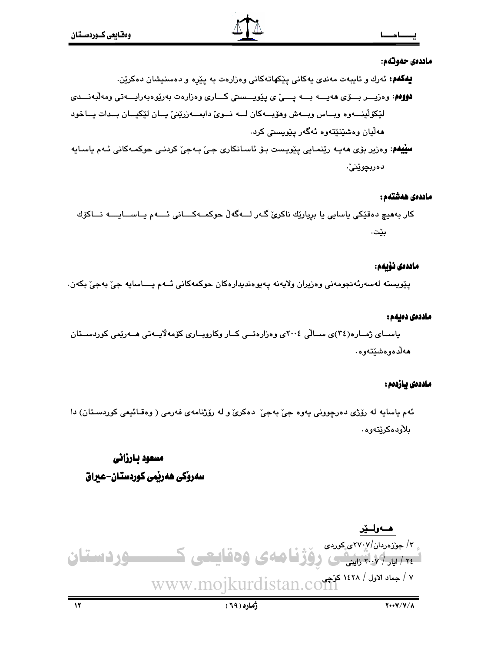#### ماددەي حەوتەم:

**لله کهم:** ئەرك و تايبەت مەندى يەكانى يێكهاتەكانى وەزارەت بە يێرە و دەسنيشان دەكرێن.

- دووهم: وهزيــــر بـــــوّى هەيــــــــه يــــــيّ ى يــيويــــستى كـــــارى وهزارەت بەريوهبەرايـــــهتى ومەلّبەنــــدى لێػۆڵێنےوہ وباس وبــهش وهۆبــهكان لــه نــویٰ دابمــهزرێنیٰ پــان لێکیــان بــدات پــاخود هەلّيان وەشێنێتەوە ئەگەر يێويستى كرد.
- **سِلِیْلِهُم**: وەزیر بۆی مەیـە رێنمـایی پێویـست بـۆ ئاسـانکاری جـیٚ بـەجیٚ کردنـی حوکمـەکانی ئـەم یاسـایە دەربچوێنىٚ٠

#### ماددەى ھەشتەم :

كار بەھيچ دەقێكى ياسايى يا بريارێك ناكرىّ گەر لـــەگەڵ حوكمــەكــــانى ئــــەم يــاســـايــــە نـــاكۆك ىيىت.

#### ماددەى نۆيەم:

پٽويسته لهسهرئهنجومهني وهزيران ولايهنه پهيوهنديدارهکان حوکمهکاني ئــهم يـــاسايه جيّ بهجيّ بکهن.

#### ماددەى دەيەم :

یاسـای ژمـاره(٢٤)ی سـالّی ٢٠٠٤ی وهزارهتــی کــار وکاروبــاری کوّمهلاّیــهتی هــهریّمی کوردســتان هەلدەوەشىيتەوە.

#### ماددەى يازدەم :

ئهم ياسايه له رۆژى دەرچوونى يەوە جىّ بەجىّ دەكرىّ و له رۆژنامەي فەرمى ( وەقـائىعى كوردسـتان) دا بلأودەكرێتەوە.

# مسعود بارزاني سەروكى ھەربمى كوردستان-عىراق

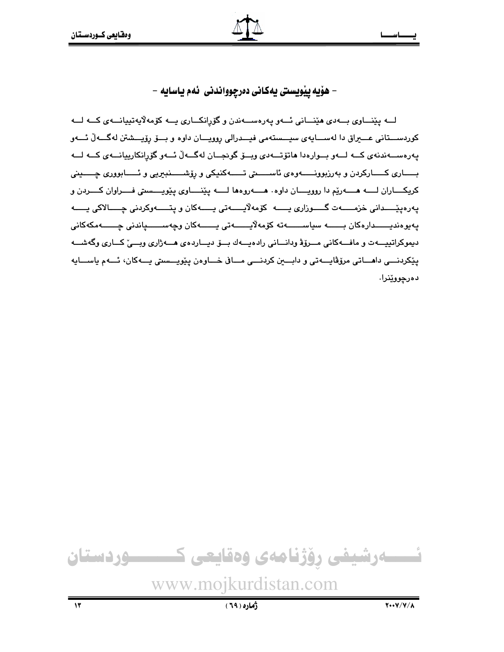– هۆيه ييويستي يەكاني دەرچوواندني ئەم ياسايە –

لـــه پێنـــاوي بـــه٥ي هێنـــاني ئـــهو پهرهســـهندن و گۆرانكـــاري پـــه كۆمهلاپهتيپانـــهي كـــه لـــه كوردســـتانى عــــيراق دا لهســــايهى سيـــستهمى فيـــدرالى روويـــان داوه و بـــۆ رۆيـــشتن لهگـــهڵ ئــــهو يەرەســـەندنەي كـــە لـــەو بــوارەدا ھاتۆتـــەدى ويــۆ گونجــان لەگـــەلّ ئـــەو گۆرانكارييانـــەي كـــە لـــە بـــاري كـــاركردن و بهرزبوونــــهوهي ئاســــتي تــــهكنيكي و رِۆشــــنبيريي و ئــــابووري چــــيني كريكــــاران لـــــه هـــــهريم دا روويـــــان داوه. هـــــهروهها لـــــه ييّننــــاوى ييّويــــستى فــــراوان كــــردن و يەرەيێــــدانى خزمــــــەت گــــوزارى يــــــە كۆمەلايــــــەتى يــــــەكان و پتــــــەوكردنى چــــالاكى يـــــه پەيوەنديــــــدارەكان بــــــــە سياســـــــەتە كۆمەلايـــــــەتى يـــــــەكان وچەســـــــپاندنى چـــــــەمكەكانى ديموكراتييـــهت و مافـــهكاني مـــرۆۋ ودانـــاني رادەيـــهك بـــۆ ديـــاردەي هـــهژاري وبـــيّ كـــاري وگهشـــه يٽِکردنـــي داهـــاتي مرۆۋاپـــهتي و دابـــين کردنـــي مـــافي خـــاوهن يٽوپـــستي پـــهکان، ئـــهم ياســـايه دەرچووێنرا.

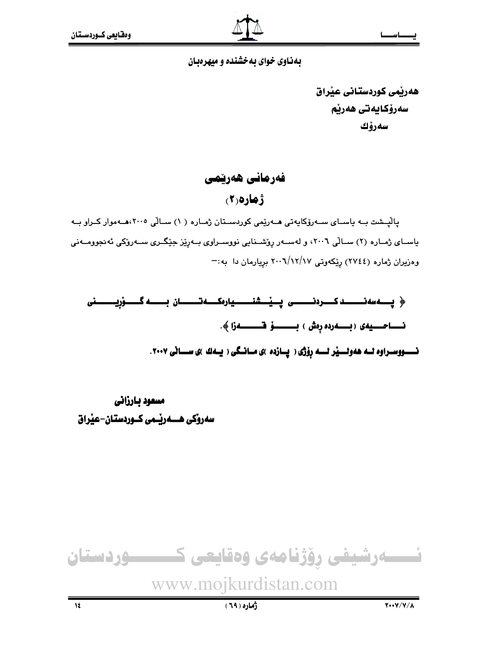### بهذاوی خوای به خشنده و میهرهبان

هەرتمى كوردستانى عنراق سەرۆكايەتى ھەرنم سەرۆك

### فەرمانى ھەرپىمى

 $(7)$ 9)

یالیشت بـه یاسـای سـهرۆکایهتی هـهریمی کوردسـتان ژمـاره ( ۱) سـالی ۲۰۰۰هـهموار کـراو بـه باسـای ژمـاره (۲) سـالّی ۲۰۰۲، و لهسـهر روّشـنایی نووسـراوی بـهریّز جیّگـری سـهروکی ئهنجوومـهنی وهزیران ژماره (٢٧٤٤) ریکهوتی ٢٠٠٦/١٢/١٧ بریارمان دا به:-

﴿ پِـــەسەنـــــــــد كــــــرەنــــــــــــى پِـــيْــــشنـــــــــيارەكـــــەتـــــــان بـــــــــه گـــــــوْريـــــــــــنى نـــــووســراوه لــه هەولـــيْر لــــه رِوْژى ( پــازده )ى مــانــگى ( يــهك )ى ســـانى ٢٠٠٧.

مسعود بارزاني سەروكى ھـــەرپّــمى كــوردستان-عيّراق

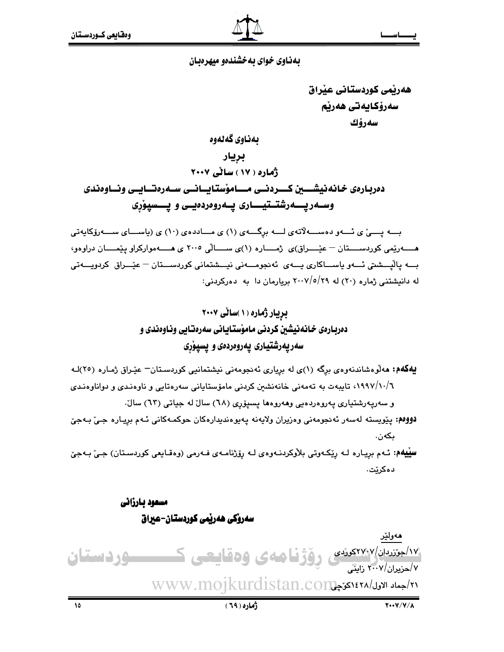### بهذاوی خوای به خشندهو میهرهبان

هەريمي كوردستاني عيراق سەرۆكايەتى ھەرپم سەرۆك بەناوى گەلەوە بريار ژماره ( ۱۷ ) ساٽي ۲۰۰۷ دەربارەي خانەنيشـــين كـــردنــى مـــامۆستابــانــى ســەرەتـــايــى ونــاوەندى وسـهريــــهرشتــتيــــارى يــهروەردەيــى و پـــسپوْرِى

بسه پسی ٔی ئسهو دهســه لاتهی لـــه برگـــهی (۱) ی مـــاددهی (۱۰) ی (پاســـای ســـهروکایهتی هـــــهريمي كوردســــتان – عيْــــراق)ى (مــــاره (١)ى ســــالّى ٢٠٠٥ ى هــــه مواركراو ييْمــــان دراوهو، بـــه پالْپـــشىتى ئـــهو ياســـاكارى يـــهى ئهنجومـــهنى نيـــشتمانى كوردســـتان – عيْـــراق كردويـــهتى له دانیشتنی ژماره (۲۰) له ۲۹/۰/۷/۰/۹ بریارمان دا به دهرکردنی:

یهکهم: مەلوەشاندنەوەی برگە (۱)ی لە بریاری ئەنجومەنی نیشتمانیی کوردستان- عیدراق ژمارە (۲٥)لـه ٠/٩٩٧/١٠/٦) تايبهت به تهمهني خانهنشىن كردني مامۆستايانى سەرەتايى و ناوەنىدى و دواناوەنىدى و سەريەرشتيارى يەروەردەيى وھەروەھا يسيۆرى (٦٨) سالٌ له جياتى (٦٣) سالٌ.

دووم: يێويسته لهسهر ئهنجومهني وهزيران ولايهنه يهيوهنديدارهكان حوكمـهكاني ئـهم بريـاره جـيّ بـهجيّ ىكەن.

**سيّيهم:** ئـهم بريـاره لـه ريّكـهوتي بلأوكردنـهوهي لـه رۆژنامـهي فـهرمي (وهقـايعي كوردسـتان) جـيّ بـهجيّ دەكرێت.

> مسعود بارزاني سەروكى ھەربمى كوردستان-عبراق

ھەولێر <u>۱۷طورد ان/۲۷۹ کوشی روزنامه ی وهقایعی کسیسوردستان</u> ۷/حزبران/۲۰۰۷ زاینش ۲۱/جماد الاول/۱٤۲۸کونچىWWW.MO1kurdistan.co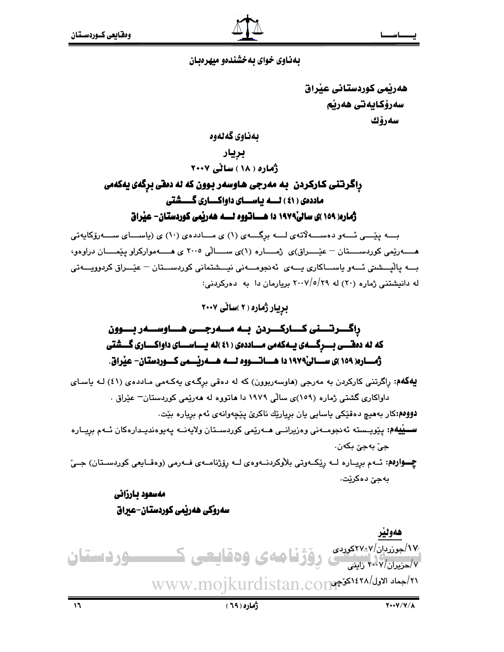### بهذاوی خوای به خشندهو میهر هیان

هەرپمى كوردستانى عيراق سەرۆكايەتى ھەرێم سەرۆك

بەناوي گەلەوە

بريار

ژماره ( ۱۸ ) ساٽي ۲۰۰۷

## راگرتني کـارکردن به مەرجى هـاوسەر بـوون که نه دەقى برگەي يەکەمى ماددهی ( ٤١ ) لسه پاسسای داواکساری گسشتی ژماره( ۱۵۹ )ی سالی۱۹۷۹ دا هـــاتووه لـــه ههریمی کوردستان- عیراق

بـــه پێــــی ئـــهو دهســـهلاتهى لـــه برگـــهى (۱) ى مـــاددهى (۱۰) ى (ياســـاى ســـهرزكايهتى هـــــهريمي كوردســــتان – عيْــــراق)ى ژمــــاره (١)ى ســــالى ٢٠٠٥ ى هــــهمواركراو ييْمــــان دراوهو، .<br>بـــه پاٽيـــشتي ئـــهو پاســـاکاري پـــهي ئهنجومـــهني نيـــشتماني کورڊســـتان – عٽِـــراق کرڊوويـــهتي له دانیشتنی ژماره (۲۰) له ۲۰۰۷/٥/۲۹ بریارمان دا به دهرکردنی:

بریار ژماره (٢ )سالی ٢٠٠٧

# راگـــــرتــــــنى كــــــاركــــــردن بـــه مــــــهرجــــى هـــــاوســــهر بـــــوون که نه دهقــــی بــــــرگــــــهی یـــهکهمی مـــــاددهی ( ٤١ )نه پـــــاســــای داواکـــــاری گــــشتی

**بېلاکهم:** راگرتنی کارکردن به مەرجی (هاوسەربوون) که له دەقی برگـهی بهکـهمی مـاددهی (٤١) لـه باسـای داواکاری گشتی ژماره (۱۵۹)ی سالی ۱۹۷۹ دا هاتووه له ههریمی کوردستان– عیّراق .

دووهم:کار بههيچ دهقێکي ياسايي يان بريارێك ناکرێ پێچەوانەي ئەم برياره بێت.

**ســـیْیهم:** یـێویــسته ئەنجومــەنی وەزیرانــی مــەرێمی کوردســتان ولایەنــە یـەیوەندیــدارەکان ئــەم بریــارە جيٰ بهجيٰ بکهن.

چوارهم: ئهم برياره لـه ريكهوتي بلاوكردنـهوهي لـه روزنامـهي فـهرمي (وهقـايعي كوردسـتان) جـيّ بەجىؒ دەكرێت.

## مەسعود بارزانى سەروكى ھەرتمى كوردستان-عبراق

۱۷٫<br>۱۷٫<sub>حیران</sub>/۱۷٫۷ <sub>نایش</sub> و وَژْنا مەی وەقايىمى كىسىستىردىستان www.mojkurdistan.con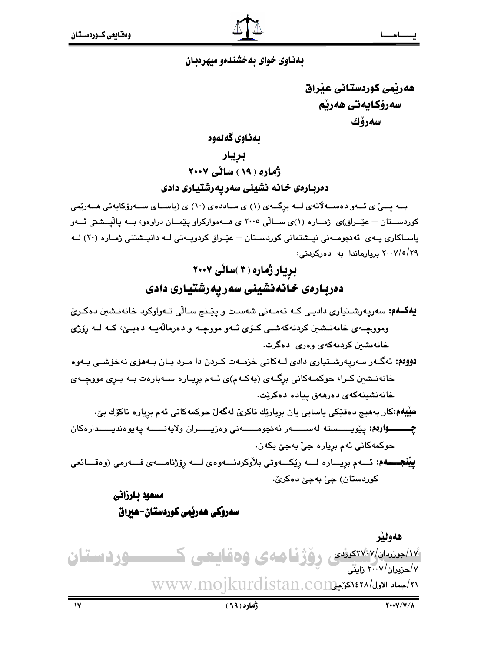### بهناوی خوای به خشندهو میهرهبان

هەرپمى كوردستانى عبراق سەرۆكايەتى ھەرپم سەرۆك

ىەناوى گەلەوە

بريار

ژماره ( ۱۹ ) ساڻي ۲۰۰۷ دەربارەى خانە نشينى سەريەرشتيارى دادى

بــه پـــی٘ ی ئــهو دهســهلاّتهی لــه برگــهی (۱) ی مــاددهی (۱۰) ی (پاســای ســهرو٘کاپهتی هــهریٚمی کوردســتان – عێــراق)ی ژمــاره (۱)ی ســالّی ۲۰۰۵ ی هــهموارکراو پێمــان دراوهو، بــه پالێــشتی ئــهو یاسـاکاری یـهی ئهنجومـهنی نیـشتمانی کوردسـتان – عیّـراق کردویـهتی لـه دانیـشتنی ژمـاره (۲۰) لـه ۲۰۰۷/٥/۲۹ بریارماندا به دهرکردنی:

# بریار ژماره ( ۳ )ساٽي ۲۰۰۷ دەربـارەى خـانـەنشينى سەريـەرشتيـارى دادى

- يهكهم: سەريەرشىتيارى داديـى كـه تەمـەنى شەسـت و يێنج سـالّى تـەواوكرد خانەنـشين دەكـرىّ ومووچـهي خانهنــشين کردنهکهشــي کــۆي ئــهو مووچــه و دهرمالهيــه دهبــێ، کــه لــه رۆژي خانەنشىن كردنەكەي وەرى دەگرت.
- دووم: ئەگـەر سەريەرشـتيارى دادى لـەكاتى خزمـەت كـردن دا مـرد يـان بـەمۆى نەخۆشـى يـەوە خانەنـشین کـرا، حوکمـەکانى برگـەی (يەكـەم)ى ئـەم بريـارە سـەبارەت بـە بـرى مووچـەی خانەنشىنەكەي دەرھەق ييادە دەكريت.
- **سِیْیهم:**کار بەمىچ دەقێکى ياسايى يان برِيارێك ناکرێ لەگەلٚ حوکمەکانى ئەم بریارە ناکۆك بێ٠ چـــــوارەم: يێويـــــسته لەســــــەر ئەنجومــــــەنى وەزيــــــران ولايەنــــــه يەيوەنديـــــدارەكان حوکمهکاني ئهم برياره جيّ بهجيّ بکهن.

**ييْنجــــهم:** ئـــهم بريــــاره لــــه رِيْكـــهوتي بلأوكردنــــهوهي لــــه رِوْژنامــــهي فـــهرمي (وهقــــائعي کوردستان) جي بهجيّ دهکريّ.

# مسعود بارزاني سەروكى ھەربمى كوردستان-عىراق

هەولير ۱۷<del>/جوندیان/۲۷:</del>۷ کوشی روژفا ههی وهقاییعی ک<del>سیست</del> وردستان ۷/حزیران/۲۰۰۷ زاینی w/جماد الاول/١٤٢٨ كي جال www.mojkurdistan.co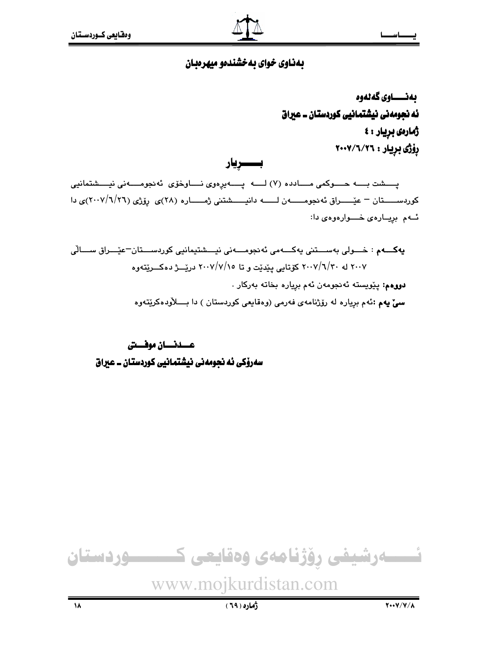# بهناوی خوای به خشندهو میهرهبان

بەنـــــاوى گەنەوە ئه نجومەنى نيشتمانيى كوردستان ــ عيراق ژمارەي بريار : ٤ رۆژى بريار : ٢٠٠٧/٦/٢٦

بـــــريار

پسشت بسه حسوکمی مسادده (۷) لسه پسهیرهوی نساوخوّی ئهنجومسهنی نیسشتمانیی کوردســـــتان – عیٌـــــراق ئه نجومــــــه ن لــــــه دانیــــــشتنی ژمـــــاره (٢٨)ی رۆژی (٢٠٠٧/٦/٢٦)ی دا ئهم بريارهى خسوارهوهى دا:

**يەكـــەم** : خـــولى بەســـتنى يەكـــەمى ئەنجومـــەنى نيـــشتيمانيى كوردســـتان<sup>ــ</sup>عيْـــراق ســـالّى ۲۰۰۷ له ۲۰۰۷/٦/۲۰ کۆتايى يێدێت و تا ۲۰۰۷/۷/۱۰ درێــــژ دەكــــرێتەوە دووهم: يێويسته ئەنجومەن ئەم بريارە بخاتە بەركار . **سیٰ یهم :**ئهم برِیاره له رۆژنامهی فهرمی (وهقایعی کوردستان ) دا بـــــلاّودهکرێِتهوه

عسدنسان موفستى سەرۆكى ئە نجومەنى نيشتمانيى كوردستان ــ عيراق



www.mojkurdistan.com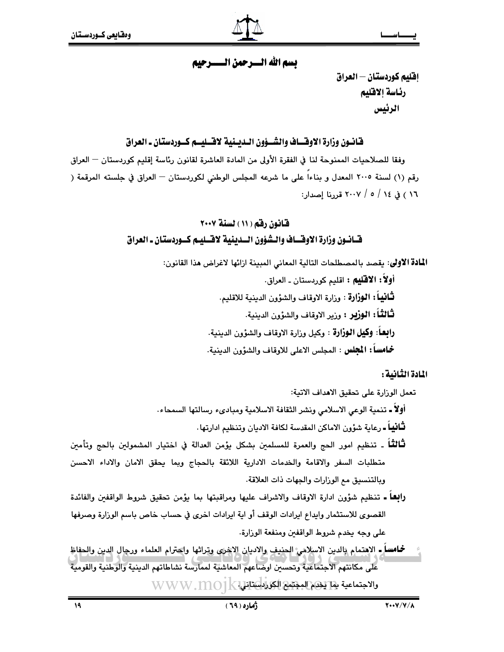### تسم الله السيرجهن التسترجيم

إقليم كوردستان — العراق رئاسة إلاقليم الرئيس

### فـَّانـُـون وزارة الاوقـــاف والشـــؤون الــديــنية لاقـــليـــم كـــوردستـان ــ العراق

وفقا للصلاحيات الممنوحة لنا في الفقرة الأولى من المادة العاشرة لقانون رئاسة إقليم كوردستان — العراق رقم (١) لسنة ٢٠٠٥ المعدل و بناءاً على ما شرعه المجلس الوطني لكوردستان — العراق في جلسته المرقمة ( ١٦ ) في ١٤ / ٥ / ٢٠٠٧ قدرنا إصدار:

## قانون رقم ( ١١ ) لسنة ٢٠٠٧ قــانــون وزارة الاوقـــاف والــشؤون الـــدينية لاقـــليــم كـــوردستـان ــ العراق

ا**لمادة الاولى**: يقصد بالمصطلحات التالية المعاني المبينة ازائها لاغراض هذا القانون:

أولاً : الاقليم : اقليم كوردستان ـ العراق. لْتَافِيقًا: الـْوِزَارِة : وزارة الاوقاف والشؤون الدينية للاقليم. ثْنَالثْتًا : الوزير : وزير الاوقاف والشؤون الدينية. **رابعاً: وكيل الـوزارة** : وكيل وزارة الاوقاف والشؤون الدينية. **خمامساً: المجلس :** المجلس الاعلى للاوقاف والشؤون الدينية.

المادة الثانية :

تعمل الورارة على تحقيق الاهداف الاتية:

أولًا ـ تنمية الوعي الاسلامي ونشر الثقافة الاسلامية ومبادىء رسالتها السمحاء.

**ثَـانياً ـ** رعاية شؤون الاماكن المقدسة لكافة الاديان وتنظيم ادارتها .

- **ثَـالث**ُـاً ـ تنظيم امور الحج والعمرة للمسلمين بشكل يؤمن العدالة في اختيار المشمولين بالحج وتأمين متطلبات السفر والاقامة والخدمات الادارية اللائقة بالحجاج وبما يحقق الامان والاداء الاحسن وبالتنسيق مع الوزارات والجهات ذات العلاقة.
- رابِعا ـ تنظيم شؤون ادارة الاوقاف والاشراف عليها ومراقبتها بما يؤمن تحقيق شروط الواقفين والفائدة القصوى للاستثمار وايداع ايرادات الوقف أو اية ايرادات اخرى في حساب خاص باسم الوزارة وصرفها على وجه يخدم شروط الواقفين ومنفعة الوزارة.
- خمامساً ـ الاهتمام بالدين الاسلامي الحنيف والاديان الاخرى وتراثها واحترام العلماء ورجال الدين والحفاظ على مكانتهم الاجتماعية وتحسين اوضاعهم المعاشية لممارسة نشاطاتهم الدينية والوطنية والقومية والاجتماعية بها يكوم المجتمع الكوراباستاني [-] WWW. [1] O1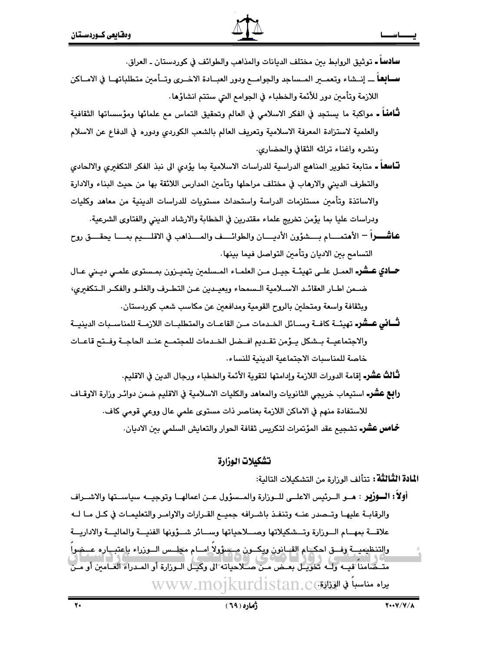**سادسا ـ ت**وثيق الروابط بين مختلف الديانات والمذاهب والطوائف في كوردستان ـ العراق.

- **ســابِهـ**اً ــــ إنــشاء وتعمــير المــساجد والجوامــع ودور العبـــادة الاخـــرى وتــأمين متطلباتهــا في الامــاكن اللازمة وتأمين دور للأئمة والخطباء في الجوامع التي ستتم انشاؤها.
- **ثَّامناً ـ** مواكبة ما يستجد في الفكر الاسلامي في العالم وتحقيق التماس مع علمائها ومؤسساتها الثقافية والعلمية لاستزادة المعرفة الاسلامية وتعريف العالم بالشعب الكوردي ودوره في الدفاع عن الاسلام ونشره واغناء تراثه الثقافي والحضارى.
- **تّــاسهـا ـ**ـ متابعة تـطوير المنـاهج الدراسية للدراسات الاسلامية بما يؤدي الى نبذ الفكر التكفيري والالحادي والتطرف الديني والارهاب في مختلف مراحلها وتأمين المدارس اللائقة بها من حيث البناء والادارة والاساتذة وتأمين مستلزمات الدراسة واستحداث مستويات للدراسات الدينية من معاهد وكليات ودراسات عليا بما يؤمن تخريج علماء مقتدرين في الخطابة والارشاد الديني والفتاوي الشرعية.
- عاشـــــــراً الأهتمــــــام بـــــشؤون الأديـــــان والطوائـــــف والمـــــذاهب في الاقلـــــيم بمــــا يحقــــق روح التسامح بين الاديان وتأمين التواصل فيما بينها.
- **حــادي عــشرـ** العمـل علــى تهيئــة جيــل مــن العلمــاء المـسلمين يتميــزون بمـستوى علمــي ديــني عــال ضـمن اطـار العقائـد الاسـلامية الـسمحاء وبعيـدين عـن التطـرف والغلـو والفكـر الـتكفيري، وبثقافة واسعة ومتحلين بالروح القومية ومدافعين عن مكاسب شعب كوردستان.
- **تـْــاني عــشَر-** تهيئــة كافــة وســائل الخـدمات مــن القاعــات والمتطلبــات اللازمــة للمناســبات الدينيــة والاجتماعيــة بــشكل يــؤمن تقــديم افــضل الخــدمات للمجتمــع عنــد الحاجــة وفــتح قاعــات خاصة للمناسبات الاجتماعية الدبنية للنساء.

**ثَّـالتْ عشرـ** إقامة الدورات اللازمة وإدامتها لتقوية الأئمة والخطباء ورجال الدين في الاقليم.

**رابع عشر-** استيعاب خريجي الثانويات والمعاهد والكليات الاسلامية في الاقليم ضمن دوائـر وزارة الاوقــاف للاستفادة منهم في الاماكن اللازمة بعناصر ذات مستوى علمي عال ووعى قومي كاف.

**خمامس عشرــ** تشجيع عقد المؤتمرات لتكريس ثقافة الحوار والتعايش السلمي بين الاديان.

### تشكيلات الوزارة

ا**لمادة الثَّالثَّة:** تتألف الوزارة من التشكيلات التالية:

أولاً : السؤرير : هــو الــرئيس الاعلــي للــوزارة والمــسؤول عــن اعمالهــا وتوجيــه سياســتها والاشــراف والرقابـة عليهـا وتــصدر عنــه وتنفـذ باشـرافه جميــع القـرارات والاوامـر والتعليمـات في كـل مـا لــه علاقسة بمهسام السوزارة وتسشكيلاتها وصسلاحياتها وسسائر شسؤونها الفنيسة والماليسة والاداريسة والتنظيميــة وفسق احكمام القسانون ويكسون مسسؤولا امسام مجلسس السوزراء باعتبــاره عسضوا مَتَّبِّصَامَنَا قَبَيَهِ وَلَيْهِ تَخْوَيْبُلِّ بِعَيْضٍ مِنْ صَبَلَاحِياتِهِ إِلَى وَكِيبِلْ البَوزارةِ أَو المبدراء العُبامَين أَو مَيْن يراه مناسباً في الوزاقWWw.mojkurdistan.c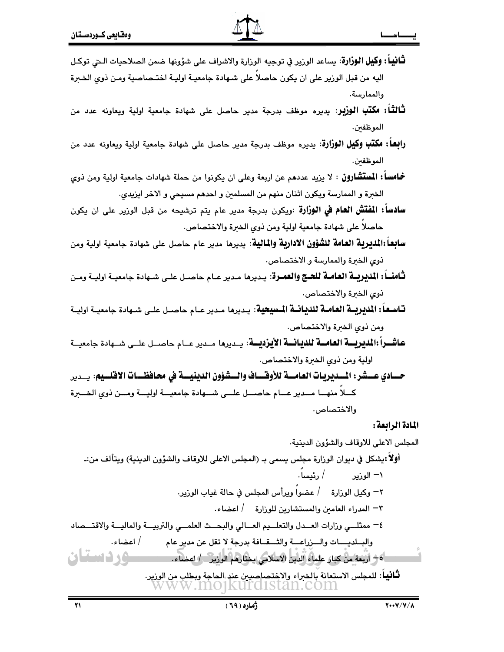- **ثَـَّانياً : وكيل الـوزارة**: يساعد الورير في توجيه الورارة والاشراف على شوِّونها ضمن الصلاحيات الـتي توكـل اليه من قبل الوزير على ان يكون حاصلا على شـهادة جامعيـة اوليـة اختـصاصية ومـن ذوى الخـبرة والممارسة.
- **ثَـالثَـاً: مكتب الوزير**: يديره موظف بدرجة مدير حاصل على شهادة جامعية اولية ويعاونه عدد من الموظفين.
- **رابعاً: مكتب وكيل الوزارة**: يديره موظف بدرجة مدير حاصل على شهادة جامعية اولية ويعاونه عدد من الموظفين.
- **خمامساً: المستشارون** : لا يزيد عددهم عن اربعة وعلى ان يكونوا من حملة شهادات جامعية اولية ومن ذوي الخبرة و الممارسة ويكون اثنان منهم من المسلمين و احدهم مسيحي و الاخر ايزيدي.
- **سادساً: المُقتَش العام في الوزارة** :ويكون بدرجة مدير عام يتم ترشيحه من قبل الوزير على ان يكون حاصلا على شهادة جامعية اولية ومن ذوى الخبرة والاختصاص.
- **سابعاً:المديرية العامة للشؤون الادارية والمالية**: يديرها مدير عام حاصل على شهادة جامعية اولية ومن ذوى الخرة والممارسة و الاختصاص.
- ثـامنـــاً : المديريـــة العـامــة للحــج والعمــرة: يــديرهـا مـدير عــام حاصــل علــى شــهادة جامعيــة اوليــة ومــن ذوى الخبرة والاختصاص.
- **تـاسـعـاً : المديريــة العـامـة للديـانــة المـسيحية** : يـديرها مـدير عـام حاصـل علـى شـهادة جامعيــة اوليــة ومن ذوى الخبرة والاختصاص.
- عاشــراً :المديريـــة العامــة للديـانـــة الأيرديـــة: يــديرما مــدير عــام حاصــل علــي شــهادة جامعيــة اولية ومن ذوي الخبرة والاختصاص.
- حسادي عسشر: المسديريات العامسة للأوقساف والسشؤون الدينيسة في محافظسات الاقلسيم: يسدير كللا منهلا مسدير عسام حاصسل علسى شسهادة جامعيسة اوليسة ومسن ذوي الخسبرة والاختصاص.

المادة الرابعة: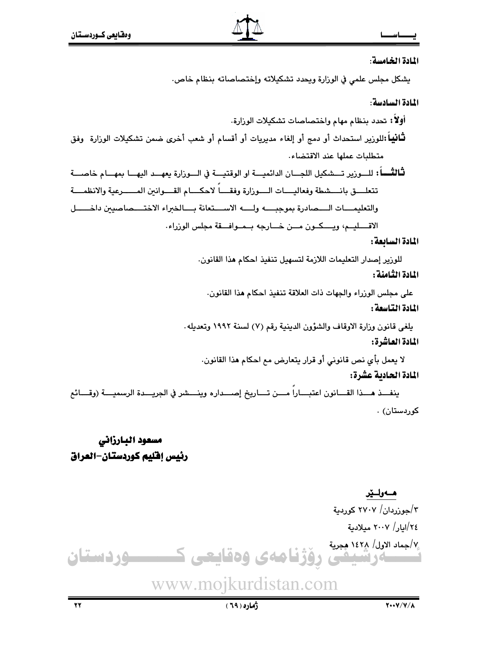### المادة الخامسة:

يشكل مجلس علمي في الوزارة ويحدد تشكيلاته وإختصاصاته بنظام خاص.

### المادة السادسة:

أولاً: تحدد بنظام مهام واختصاصات تشكيلات الورارة. **ثْـانيباً :**للوزير استحداث أو دمج أو إلغاء مديريات أو أقسام أو شعب أخرى ضمن تشكيلات الوزارة وفق متطلبات عملها عند الاقتضاء.

ثَّالتُســاً : للـــورير تـــشكيل اللجـــان الدائميـــة او الوقتيـــة في الـــورارة يعهـــد اليهـــا بمهـــام خاصــــة تتعلـــق بانـــشطة وفعاليــــات الــــوزارة وفقــــا لاحكــــام القــــوانين المــــــرعية والانظمــــة والتعليمـــات الــــصادرة بموجبــــه ولــــه الاســـتعانة بــــالخبراء الاختــــصاصيبن داخــــــل الاقسليم، ويسكون مسن خسارجه بمموافقة مجلس الوزراء.

### المادة السابعة :

للوزير إصدار التعليمات اللازمة لتسهيل تنفيذ احكام هذا القانون.

### المادة الثامنة :

على مجلس الوزراء والجهات ذات العلاقة تنفيذ احكام هذا القانون.

### المادة التاسعة :

يلغي قانون وزارة الاوقاف والشؤون الدينية رقم (٧) لسنة ١٩٩٢ وتعديله. المادة العاشرة:

لا يعمل بأي نص قانوني أو قرار يتعارض مع احكام هذا القانون.

### المادة الحادية عشرة:

ينفــذ هـــذا القـــانون اعتبـــارا مـــن تـــاريخ إصـــداره وينـــشر في الجريـــدة الرسميـــة (وقـــائع کوردستان) .

# مسعود البارزاني رئيس إفليم كوردستان–العراق

### ھـەولـێر

۲/جوزردان/ ۲۷۰۷ کوردیة ٢٤/امار/ ٢٠٠٧ مىلادىة ٧/جماد الاول/ ١٤٢٨ هجرية

ەرشيفى رۆژنامەي وەقايعى كـــــــــوردستان

# www.mojkurdistan.com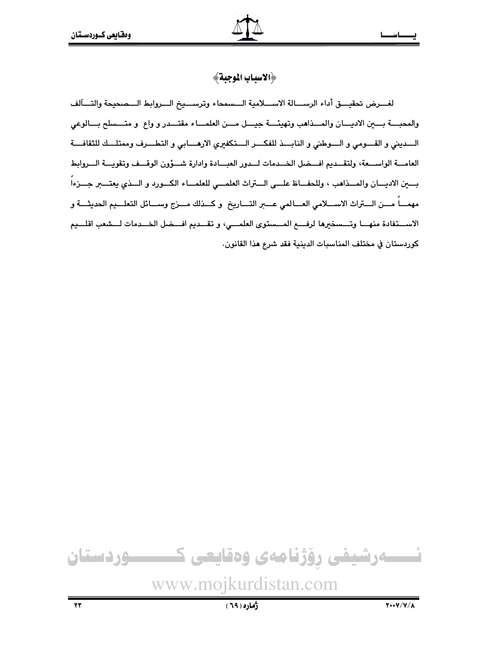### ﴿الاسياب الموجية﴾

لغـــرض تحقيـــق أداء الرســـالة الاســـلامية الـــسمحاء وترســـيخ الـــروابط الـــصحيحة والتــــاَلف والمحبسة بسين الاديسان والمسذاهب وتهيئسة جيسل مسن العلمساء مقتسدر و واع و متسسلح بسالوعى السديني و القسومي و السوطني و النابسذ للفكسر الستكفيري الارهسابي و التطسرف وممتلسك للثقافسة العامــة الواســعة، ولتقــديم افـــضل الخــدمات لــدور العبــادة وادارة شـــؤون الوقــف وتقويــة الــروابط بسين الاديسان والمسذاهب ، وللحفساظ علسى الستراث العلمسى للعلمساء الكسورد و السذي يعتسبر جسزءاً مهمـــاً مــــن الــــتراث الاســــلامي العــــالمي عـــــبر التــــاريخ و كـــذلك مــــزج وســــائل التعلــــيم الحديثــــة و الاســـتفادة منهـــا وتـــسخيرها لرفــــع المـــستوى العلمـــى، و تقـــديم افــــضل الخـــدمات لـــشعب اقلـــيم كوردستان في مختلف المناسبات الدينية فقد شرع هذا القانون.

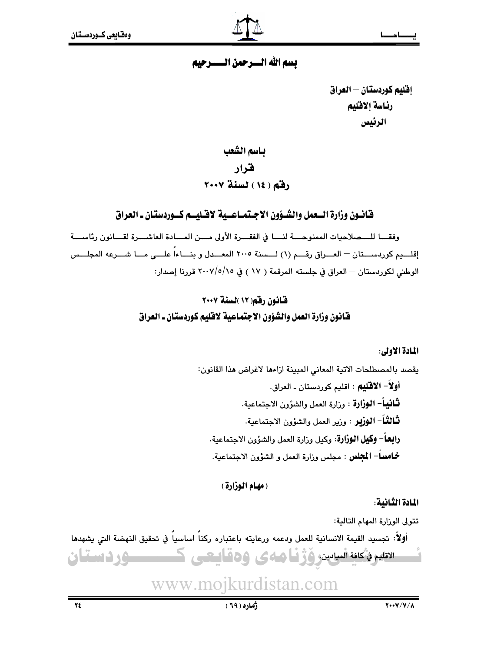### تسم الله السيرجهن التستترجيم

إفليم كوردستان — العراق رئاسة الاقليم الرئيس

ياسم الشعب فنرار رفق ( ١٤ ) لسنة ٢٠٠٧

### قانيون وزارة السعمل والشيؤون الاجتمياعسية لاقتليسم كسوردستان ـ العراق

وفقـــا للـــمىلاحيات الممنوحـــة لنـــا في الفقـــرة الأولى مـــن المـــابـة العاشـــرة لقـــانون رئاســـة إقلـــيم كوردســـتان – العـــراق رقـــم (١) لـــسنة ٢٠٠٥ المعـــدل و بنـــاءاً علـــى مـــا شـــرعه المجلـــس الوطني لكوردستان — العراق في جلسته المرقمة ( ١٧ ) في ٢٠٠٧/٥/١٥ قررنا إصدار:

# قانون رقم (١٢ )لسنة ٢٠٠٧ فَّـانون وزارة العمل والشَّؤون الاجتماعية لاقليم كوردستان ـ العراق

المادة الأولى:

يقصد بالمصطلحات الاتية المعاني المبينة ازاءها لاغراض هذا القانون: أولاً– الاقليم : اقليم كوردستان ـ العراق. لْتَافِيهاً– الوزارة : وزارة العمل والشؤون الاجتماعية. **ثـالثــاً** – ا**لـوزيـر** : وزير العمل والشؤون الاجتماعية. **رابعاً– وكيل الوزارة**: وكيل وزارة العمل والشؤون الاجتماعية. **خمامساً– المجلس :** مجلس وزارة العمل و الشؤون الاجتماعية.

(مهام الوزارة)

المادة الثانية:

تتولى الوزارة المهام التالية:

أولاً: تجسيد القيمة الانسانية للعمل ودعمه ورعايته باعتباره ركناً اساسياً في تحقيق النهضة التي يشهدها الاتليم فأكلفة الميادين، وَزْنْنَا هناءى وهقاييعنى كمستستنسسور فاستقان

www.mojkurdistan.com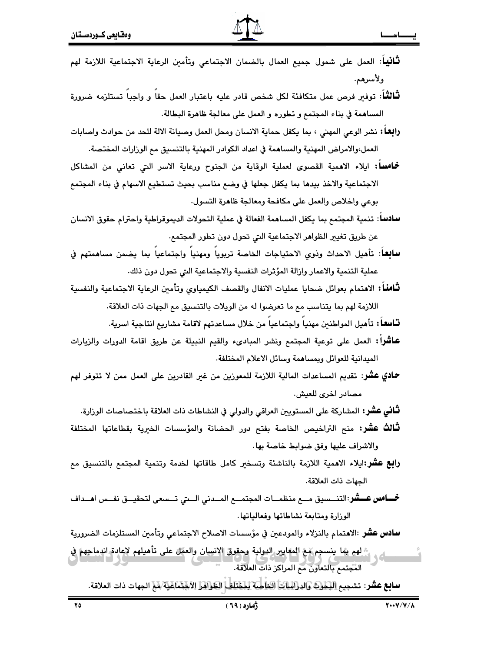|  | <b>ثَانيا</b> ً: العمل على شمول جميع العمال بالضمان الاجتماعي وتأمين الرعاية الاجتماعية اللازمة لهم |  |  |  |  |          |       |
|--|-----------------------------------------------------------------------------------------------------|--|--|--|--|----------|-------|
|  |                                                                                                     |  |  |  |  | ولأسرهم. |       |
|  |                                                                                                     |  |  |  |  |          | 52.12 |

**نَـالثـًا**: توفـِّر فرص عمل متكافئة لكل شخص قادر عليه باعتبار العمل حقا و واجبا تستلزمه ضرورة المساهمة في بناء المجتمع و تطوره و العمل على معالجة ظاهرة البطالة.

**رابِعاً:** نشر الوعى المهنى ، بما يكفل حماية الانسان ومحل العمل وصبيانة الالة للحد من حوادث واصابات العمل،والامراض المهنية والمساهمة في اعداد الكوادر المهنية بالتنسيق مع الوزارات المختصة.

**خماسا:** ايلاء الاهمية القصوى لعملية الوقاية من الجنوح ورعاية الاسر التي تعانى من المشاكل الاجتماعية والاخذ بيدها بما يكفل جعلها في وضع مناسب بحيث تستطيع الاسهام في بناء المجتمع بوعي واخلاص والعمل على مكافحة ومعالجة ظاهرة التسول.

**سادسا**: تنمية المجتمع بما يكفل المساهمة الفعالة في عملية التحولات الديموقراطية واحترام حقوق الانسان عن طريق تغيير الظواهر الاجتماعية التي تحول دون تطور المجتمع.

**سابعا**ً: تأميل الاحداث وذوي الاحتياجات الخاصة تربوياً ومهنياً واجتماعياً بما يضمن مساهمتهم في عملية التنمية والاعمار وازالة المؤثرات النفسية والاجتماعية التى تحول دون ذلك.

**تـّامنـا :** الاهتمام بعوائل ضحايا عمليات الانفال والقصف الكيمياوي وتأمين الرعاية الاجتماعية والنفسية اللازمة لهم بما يتناسب مم ما تعرضوا له من الويلات بالتنسيق مم الجهات ذات العلاقة.

**تـاسعـاً :** تأميل المواطنين مهنياً واجتماعياً من خلال مساعدتهم لاقامة مشاريم انتاجية اسرية.

- **عاشر**اً: العمل على توعية المجتمع ونشر المبادىء والقيم النبيلة عن طريق اقامة الدورات والزيارات الميدانية للعوائل وبمساهمة وسائل الاعلام المختلفة.
- **حمادي عشر**: تقديم المساعدات المالية اللازمة للمعوزين من غير القادرين على العمل ممن لا تتوفر لهم مصادر اخرى للعيش.

**ثَّـاني عشّر:** المشاركة على المستويين العراقي والدولي في النشاطات ذات العلاقة باختصاصات الوزارة.

**ثَّالَتْ عَشَر:** منح التراخيص الخاصة بفتح دور الحضانة والمؤسسات الخيرية بقطاعاتها المختلفة والاشراف عليها وفق ضوابط خاصة بها.

**رابع عشر:**ايلاء الاهمية اللازمة بالناشئة وتسخير كامل طاقاتها لخدمة وتنمية المجتمع بالتنسيق مع الحهات ذات العلاقة.

**خسامس عسشر**:التنسسيق مسع منظمسات المجتمسع المسدني الستي تسسعى لتحقيسق نفسس اهسداف الوزارة ومتابعة نشاطاتها وفعالياتها.

**سادس عشر** :الاهتمام بالنزلاء والمودعين في مؤسسات الاصلاح الاجتماعى وتأمين المستلزمات الضرورية

﴾ لهم يما ينسجم مَع المعايير الدولية وحقوق الانسان والعمل على تأميلهم لاعادة اندماجهم في المجتمع بالتعاون مع المراكز ذات العلاقة.

**سابع عشر:** تشجيع البكوتَ والدرالياتِ الخاصة لِمختلفِ الطَواهرَ الآجَتِمامَةِ لآمِ الجهات ذات العلاقة.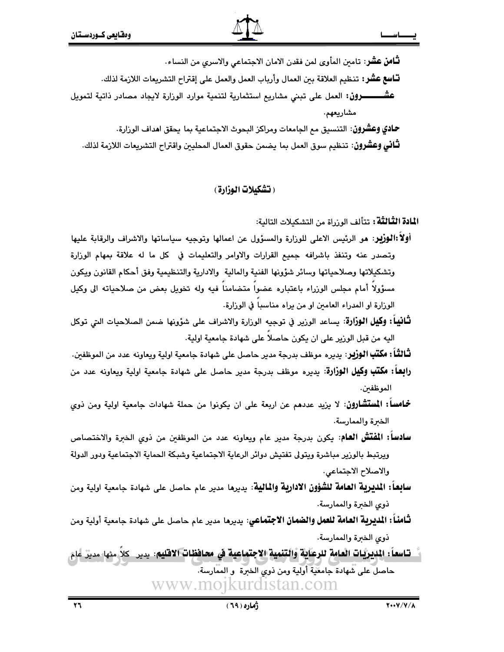**تّـامن عشّر**: تامين المأوى لمن فقدن الامان الاجتماعي والاسرى من النساء.

**تـّـاسع عشر:** تـنـظيـم العلاقة بين العمال وأرياب العمل والعمل على إقتراح التشريعات اللازمة لذلك.

**عشـــــــــرون:** العمل على تبني مشاريع استثمارية لتنمية موارد الوزارة لايجاد مصادر ذاتية لتمويل مشاريعهم.

**حـادي وعشرون**: التنسيق مـع الـجامعات ومراكز البـحوث الاجتماعية بما يحقق ا**ه**داف الورارة.

**ثـّانـى وعشرون**: تـنـظيـم سوق العمل بما يـضمن حقوق العمال المحليين واقـتراح التشريعات اللازمة لذلك.

( تشكيلات الوزارة )

ا**لمادة الثَّالثَّة:** تتألف الوزراة من التشكيلات التالية:

- أولاً:الوزير: هو الرئيس الاعلى للوزارة والمسؤول عن اعمالها وتوجيه سياساتها والاشراف والرقابة عليها وتصدر عنه وتنفذ باشرافه جميع القرارات والاوامر والتعليمات في كل ما له علاقة بمهام الوزارة وتشكيلاتها وصلاحياتها وسائر شؤونها الفنية والمالية والادارية والتنظيمية وفق أحكام القانون ويكون مسؤولا أمام مجلس الوزراء باعتباره عضوا متضامنا فيه وله تخويل بعض من صلاحياته الى وكيل الوزارة او المدراء العامين او من يراه مناسبا في الوزارة.
- **ثَّانياً : وكيل الوزارة**: يساعد الورير في توجيه الوزارة والاشراف على شؤونها ضمن الصلاحيات التي توكل اليه من قبل الورير على ان يكون حاصلا على شهادة جامعية اولية.

**ثَّـالثّـا : مكتب الـوزير**: يديره موظف بدرجة مدير حاصل على شهادة جامعية اولية ويعاونه عدد من الموظفين.

- **رابِعا: مكتب وكيل الوزارة**: يديره موظف بدرجة مدير حاصل على شهادة جامعية اولية ويعاونه عدد من الموظفين.
- **خماساً: المستشارون**: لا يزيد عددهم عن اربعة على ان يكونوا من حملة شهادات جامعية اولية ومن ذوي الخبرة والممارسة.
- **سادساً: المُقتَشُ العام**: يكون بدرجة مدير عام ويعاونه عدد من الموظفين من ذوي الخبرة والاختصاص ويرتبط بالورير مباشرة ويتولى تفتيش دوائر الرعاية الاجتماعية وشبكة الحماية الاجتماعية ودور الدولة والاصلاح الاجتماعى.
- **سابعاً: المديرية العامة للشؤون الادارية والمالية**: يديرها مدير عام حاصل على شهادة جامعية اولية ومن ذوى الخبرة والممارسة.
- **ثـَّامنـاً : المديرية العـامة للعمل والضمـان الاجتمـاعي**: يديرهـا مدير عام حاصـل على شهادة جامعية أولية ومن ذوى الخبرة والممارسة.
- تـاسعاً : الديريَّات العامة للرعاية والتنمية الاجتماعية في محافظات الاقليم: يدير كلاٍّ منها مديِّر عام حاصل على شهادة جامعية أولية ومن ذوى الخبرة و الممارسة. www.mojkurdistan.com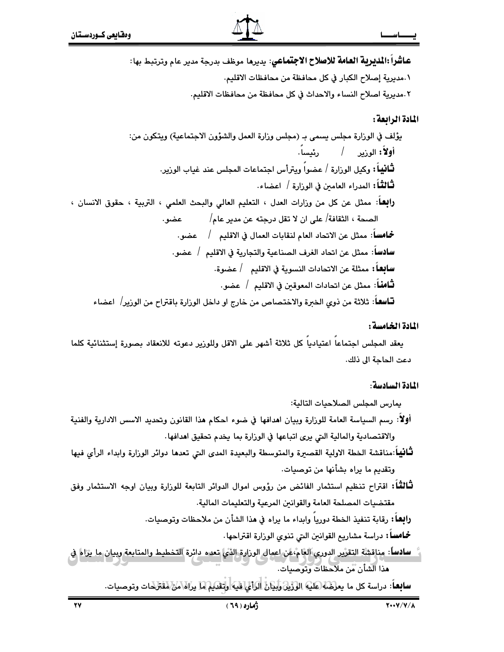عاشراً :المديرية العامة للاصلاح الاجتماعي: يديرما موظف بدرجة مدير عام وترتبط بها: ٠.مديرية إصلاح الكبار في كل محافظة من محافظات الاقليم. ٢.مديرية اصلاح النساء والاحداث في كل محافظة من محافظات الاقليم. المادة الرابعة :

بِؤَلِفٍ فِي الوزارةِ مجلِسٍ بِسمى بِـ (مجلِسٍ وزارةِ العملِ والشَوْوِنِ الاجتماعيةِ) ويتكون من: أولاً: الوزير / رئيساً. **ثَـانيـاً :** وكيل الورارة / عضواً ويترأس اجتماعات المجلس عند غياب الورير. **ثَّنَالَتْـُا**: المدراء العامين في الوزارة / اعضاء. **رابِعـا**: ممثل عن كل من وزارات العدل ، التعليم العالي والبحث العلمي ، التربية ، حقوق الانسان ، الصحة ، الثقافة/ على ان لا تقل درجته عن مدير عام/ عضو. **سادسا**: ممثل عن اتحاد الغرف الصناعية والتجارية في الاقليم / عضو. **سابعا :** ممثلة عن الاتحادات النسوية في الاقليم / عضوة. **ثَـَّامنَــ**اً: ممثل عن اتحادات المعوقـن في الاقليـم / عضو.

**تــاسفــا**: ثلاثة من ذوى الخبرة والاختصاص من خارج او داخل الوزارة باقتراح من الوزير/ اعضاء

المادة الخامسة :

يعقد المجلس اجتماعا اعتياديا كل ثلاثة أشهر على الاقل وللوزير دعوته للانعقاد بصورة إستثنائية كلما دعت الحاجة الى ذلك.

المادة السادسة:

يمارس المجلس الصلاحيات التالية:

- أولاً: رسم السياسة العامة للوزارة وبيان اهدافها في ضوء احكام هذا القانون وتحديد الاسس الادارية والفنية والاقتصادية والمالية التي يرى اتباعها في الوزارة بما يخدم تحقيق اهدافها.
- **ثَّانيا**:مناقشة الخطة الاولية القصيرة والمتوسطة والبعيدة المدى التي تعدها دوائر الوزارة وابداء الرأي فيها وتقديم ما براه بشأنها من توصيات.
- لثَّالثُّلَا: اقتراح تنظيم استثمار الفائض من رؤوس اموال الدوائر التابعة للوزارة وبيان اوجه الاستثمار وفق مقتضيات المصلحة العامة والقوانين المرعية والتعليمات المالية.

**رابعا :** رقابة تنفيذ الخطة دوريا وابداء ما يراه في هذا الشأن من ملاحظات وتوصيات.

**خمامسا:** دراسة مشاريع القوانين الىتى تنوى الوزارة اقتراحها.

<u>سادساً: مناقشة التقرير الدوري العام،عن اعمال الوزارة الذي تعده دائرة التخطيط والمتابعة وبيان ما يزاه في</u> هذا الشأن من ملاحظات وتوصيات.

**سابعاً**: دراسة كل ما يع<u>رضاً</u> لطليه الوزين وليان الرائي فيه وتقديم ما يراه\من\هقترحات وتوصيات.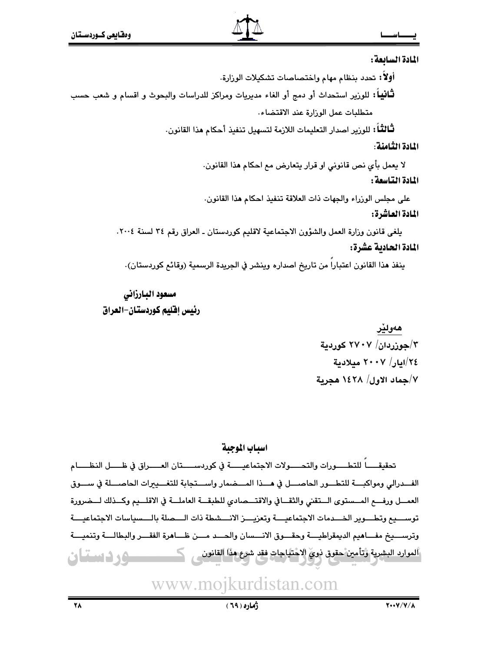

المادة السائعة:

أولا: تحدد بنظام مهام واختصاصات تشكيلات الوزارة. **ثْنَانِياً:** للوزير استحداث أو دمج أو الغاء مديريات ومراكز للدراسات والبحوث و اقسام و شعب حسب متطلبات عمل الوزارة عند الاقتضاء.

**ثْـالثْـا**ً : للورير اصدار التعليمات اللازمة لتسهيل تنفيذ أحكام هذا القانون.

المادة الثامنة:

لا يعمل بأي نص قانوني او قرار يتعارض مع احكام هذا القانون.

المادة التاسعة :

على مجلس الوزراء والجهات ذات العلاقة تنفيذ احكام هذا القانون.

المادة العاشرة:

يلغي قانون وزارة العمل والشؤون الاجتماعية لاقليم كوردستان ـ العراق رقم ٣٤ لسنة ٢٠٠٤. المادة الحادية عشرة:

ينفذ هذا القانون اعتبارا من تاريخ اصداره وينشر في الجريدة الرسمية (وقائع كوردستان).

## مسعود البارزانى رئيس إقليم كوردستان-العراق

# هەولێر  $\frac{1}{2}$ حوزردان/ ۲۷۰۷ کوردیة ٢٤/ايار/ ٢٠٠٧ ميلادية ٧/جماد الاول/ ١٤٢٨ هجرية

### اسياب الموجية

تحقيقـــــاً للتطـــــورات والتحـــــولات الاجتماعيــــــة في كوردســـــتان العـــــراق في ظـــــل النظـــــام الفــدرالي ومواكبـــة للتطـــور الحاصـــل في هـــذا المـــضمار واســـتجابة للتفـــدِيرات الحاصـــلة في ســـوق العمــل ورفـــع المــستوى الــتقنى والثقــافي والاقتـــصادي للطبقـــة العاملـــة في الاقلـــيم وكــذلك لـــضرورة توســـيع وتطـــوير الخـــدمات الاجتماعيــــة وتعزيــــز الانـــشطة ذات الــــصلة بالـــسياسات الاجتماعيــــة وترســـيخ مفـــاهيم الديمقراطيــــة وحقـــوق الانـــسان والحـــد مـــن ظـــاهرة الفقـــر والبطالـــة وتنميـــة ألموارد البشرية وتأمين حقوق ذوي الاحتياجات فقد شرع هذا القانون مستحجم وردستان

www.mojkurdistan.com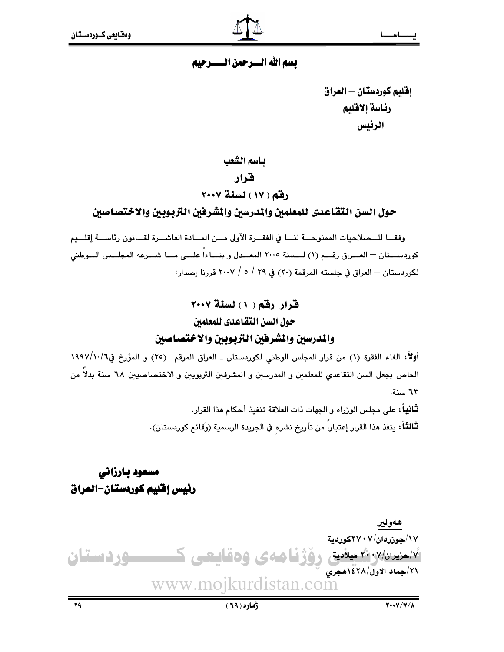### تسم الله السيرجهن التستترجيم

إفليم كوردستان — العراق رئاسة إلاقليم الرئيس

باسم الشعب فخرار رفق (١٧) لسنة ٢٠٠٧

حول السن التقاعدي للمعلمين والمدرسين والمشرفين التربوبين والاختصاصين

وفقــا للــمـلاحيات الممنوحـــة لنـــا في الفقــرة الأولى مـــن المــادة العاشـــرة لقـــانون رئاســـة إقلـــيم كوردســـتان — العـــراق رقـــم (١) لـــسنة ٢٠٠٥ المعـــدل و بنــــاءاً علـــى مـــا شـــرعه المجلـــس الـــوطني لكوردستان – العراق في حلسته المرقمة (٢٠) في ٢٩ / ٥ / ٢٠٠٧ قررنا إصدار:

# قرار رقم ( ١ ) لسنة ٢٠٠٧ حول السن التقاعدي للمعلمين

### والمدرسين والشرفين التزبوبين والاختصاصين

أولاً: الغاء الفقرة (١) من قرار المجلس الوطني لكوردستان ـ العراق المرقم (٢٥) و المؤرخ في١٩٩٧/١٠/٦ الخاص بجعل السن التقاعدي للمعلمين و المدرسين و المشرفين التربويين و الاختصاصيين ٦٨ سنة بدلاً من ٦٣ سنة.

> لله أن على مجلس الورراء و الجهات ذات العلاقة تنفيذ أحكام هذا القرار. لْتَالثْتاً؛ ينفذ هذا القرار إعتباراً من تأريخ نشره في الجريدة الرسمية (وَقائع كوردستان).

# مسعود بارزاني رئيس إفليم كوردستان-العراق

هەولير ۰۷/جوزردان/۲۷۰۷کوردیة <u>۱۷طیران (۲۰۰۷ میلادی رفزنامه ی وهقاییعی کسیسسوردستان</u> ٢١/جماد الاول/٢٨/هجرى www.mojkurdistan.com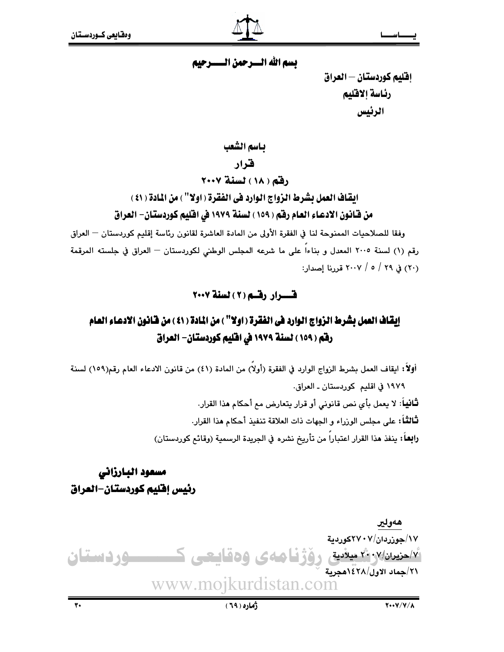تسم الله السيرجهن التستترجيم

إقليم كوردستان — العراق رئاسة إلاقليم الرئيس

باسم الشعب

### ف اد

(قم (١٨) لسنة ٢٠٠٧

ايقاف العمل بشرط الزواج الوارد في الفقرة ( اولا'' ) من المادة ( ٤١ ) من قـّانـون الادعـاء العـام رفقم ( ١٥٩ ) لسنة ١٩٧٩ في افليم كـوردستـان- العراق

وفقا للصلاحيات الممنوحة لنا في الفقرة الأولى من المادة العاشرة لقانون رئاسة إقليم كوردستان — العراق رقم (١) لسنة ٢٠٠٥ المعدل و بناءاً على ما شرعه المجلس الوطني لكوردستان — العراق في جلسته المرقمة (٢٠) في ٢٩ / ٥ / ٢٠٠٧ قررنا إصدار:

### قسوار رقسه (٢) لسنة ٢٠٠٧

# إيقاف العمل بشرط الزواج الوارد في الفقرة ( اولا" ) من المادة ( ٤١ ) من فانون الادعاء العام رفق ( ١٥٩ ) لسنة ١٩٧٩ في افليم كوردستان- العراق

أولاً: ابقاف العمل بشرط الزواج الوارد في الفقرة (أولاً) من المادة (٤١) من قانون الادعاء العام رقم(١٥٩) لسنة ١٩٧٩ في اقليم كوردستان ـ العراق. **ثَـانيـا**ً: لا يعمل بأي نص قانوني أو قرار يتعارض مم أحكام هذا القرار. **ثـالثـاً:** على مجلس الوزراء و الجهات ذات العلاقة تنفيذ أحكام هذا القرار. را**بع**اً؛ ينفذ هذا القرار اعتباراً من تأريخ نشره في الجريدة الرسمية (وقائم كوردستان)

# مسعود البارزاني رئيس إفليم كوردستان-العراق

هەولير ۱۷/جوزردان/۲۷۰۷کوردیة  $\sqrt{\check{Y}}$ احزيران $\gamma/\gamma$ ٠- ^\ ميلادية $\gamma$ رۆژنامەي وەقايعى كــــــوردستان ٢١/جماد الاول/٢٨/هجرية www.mojkurdistan.com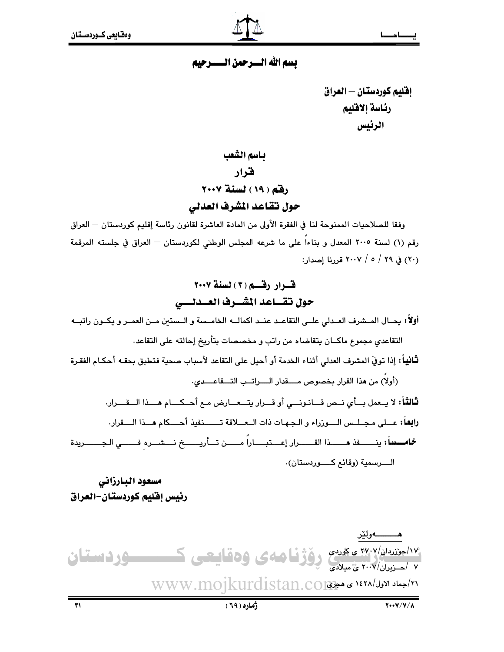### تسم الله السيرجهن التسترجيم

إفليم كوردستان — العراق رئاسة إلاقليم الرئيس

باسم الشعب فرار رفق ( ١٩ ) لسنة ٢٠٠٧ حول تقاعد المشرف العدلي

وفقا للصلاحيات الممنوحة لنا في الفقرة الأولى من المادة العاشرة لقانون رئاسة إقليم كوردستان — العراق رقم (١) لسنة ٢٠٠٥ المعدل و بناءاً على ما شرعه المجلس الوطني لكوردستان — العراق في جلسته المرقمة (٢٠) في ٢٩ / ٥ / ٢٠٠٧ قدرنا إصدار:

# قرار رقم (٣) لسنة ٢٠٠٧ حول تقساعد المشسرف العسدلسي

أولاً: يحـال المـشرف العـدلي علــي التقاعـد عنـد اكمالــه الخامـسة و الـستين مـن العمـر و يكــون راتبــه

التقاعدي مجموع ماكــان يتقاضاه من راتب و مخصصات بتأريخ إحالته على التقاعد.

**ثَانيا**ً: إذا توفيَ المشرف العدلى أثناء الخدمة أو أحيل على التقاعد لأسباب صحية فتطبق بحقـه أحكـام الفقـرة

(أولاً) من هذا القرار بخصوص مسقدار السراتـب التــقاعـــدى.

ثالثاً: لا يـعمل بــأي نــص قــانـونـــي أو قـــرار يتـــعــارض مـع أحــكـــام هـــذا الـــقـــرار. رابعاً: عــلى مجـلـس الـــوزراء و الـجـهـات ذات الــعــلاقة تــــــنفيذ أحــــكام هـــذا الــــقرار.

خمامسساً: ينسسفذ مسسدا القسسرار إعستبساراً مسسن تسأريسسخ نسشسره فسسي الجسسريدة الــــرسمية (وقائـع كـــــوردستان).

مسعود البارزانى رئيس إقليم كوردستان–العراق

۱۴/اجتندان/۲۷۰۷ ، بهردی روژفا های وهقاییعی کمیسکورد استان ٢١/جماد الاول/١٤٢٨ ى هجهى WWW.mojkurdistan.co